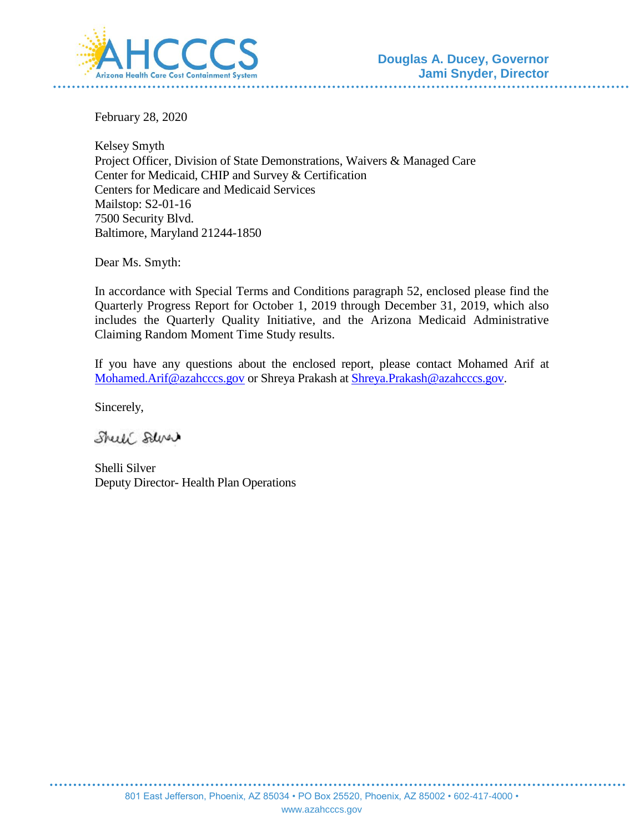

February 28, 2020

Kelsey Smyth Project Officer, Division of State Demonstrations, Waivers & Managed Care Center for Medicaid, CHIP and Survey & Certification Centers for Medicare and Medicaid Services Mailstop: S2-01-16 7500 Security Blvd. Baltimore, Maryland 21244-1850

Dear Ms. Smyth:

In accordance with Special Terms and Conditions paragraph 52, enclosed please find the Quarterly Progress Report for October 1, 2019 through December 31, 2019, which also includes the Quarterly Quality Initiative, and the Arizona Medicaid Administrative Claiming Random Moment Time Study results.

If you have any questions about the enclosed report, please contact Mohamed Arif at [Mohamed.Arif@azahcccs.gov](mailto:Mohamed.Arif@azahcccs.gov) or Shreya Prakash at [Shreya.Prakash@azahcccs.gov.](mailto:Shreya.Prakash@azahcccs.gov)

Sincerely,

Shell Salver

Shelli Silver Deputy Director- Health Plan Operations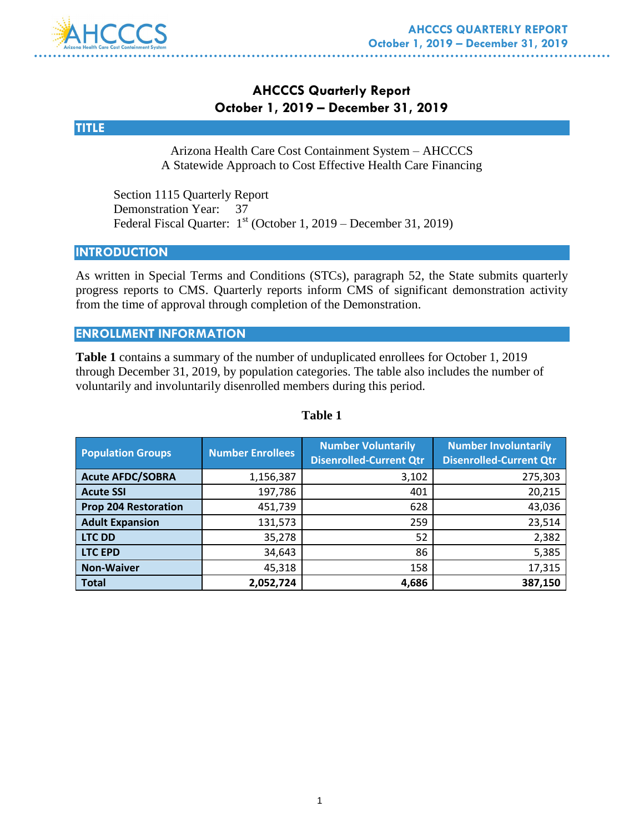

### **AHCCCS Quarterly Report October 1, 2019 – December 31, 2019**



Arizona Health Care Cost Containment System – AHCCCS A Statewide Approach to Cost Effective Health Care Financing

Section 1115 Quarterly Report Demonstration Year: 37 Federal Fiscal Quarter: 1<sup>st</sup> (October 1, 2019 – December 31, 2019)

#### **INTRODUCTION**

As written in Special Terms and Conditions (STCs), paragraph 52, the State submits quarterly progress reports to CMS. Quarterly reports inform CMS of significant demonstration activity from the time of approval through completion of the Demonstration.

#### **ENROLLMENT INFORMATION**

**Table 1** contains a summary of the number of unduplicated enrollees for October 1, 2019 through December 31, 2019, by population categories. The table also includes the number of voluntarily and involuntarily disenrolled members during this period.

| <b>Population Groups</b>    | <b>Number Enrollees</b> | <b>Number Voluntarily</b><br><b>Disenrolled-Current Qtr</b> | <b>Number Involuntarily</b><br><b>Disenrolled-Current Qtr</b> |
|-----------------------------|-------------------------|-------------------------------------------------------------|---------------------------------------------------------------|
| <b>Acute AFDC/SOBRA</b>     | 1,156,387               | 3,102                                                       | 275,303                                                       |
| <b>Acute SSI</b>            | 197,786                 | 401                                                         | 20,215                                                        |
| <b>Prop 204 Restoration</b> | 451,739                 | 628                                                         | 43,036                                                        |
| <b>Adult Expansion</b>      | 131,573                 | 259                                                         | 23,514                                                        |
| <b>LTC DD</b>               | 35,278                  | 52                                                          | 2,382                                                         |
| <b>LTC EPD</b>              | 34,643                  | 86                                                          | 5,385                                                         |
| <b>Non-Waiver</b>           | 45,318                  | 158                                                         | 17,315                                                        |
| <b>Total</b>                | 2,052,724               | 4,686                                                       | 387,150                                                       |

#### **Table 1**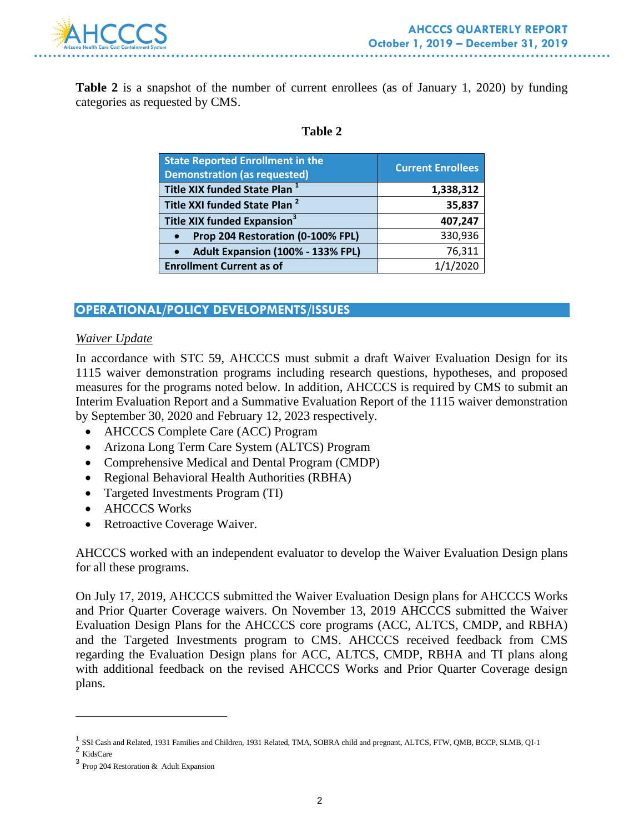

**Table 2** is a snapshot of the number of current enrollees (as of January 1, 2020) by funding categories as requested by CMS.

#### **Table 2**

| <b>State Reported Enrollment in the</b><br><b>Demonstration (as requested)</b> | <b>Current Enrollees</b> |
|--------------------------------------------------------------------------------|--------------------------|
| Title XIX funded State Plan <sup>1</sup>                                       | 1,338,312                |
| Title XXI funded State Plan <sup>2</sup>                                       | 35,837                   |
| Title XIX funded Expansion <sup>3</sup>                                        | 407,247                  |
| Prop 204 Restoration (0-100% FPL)<br>$\bullet$                                 | 330,936                  |
| Adult Expansion (100% - 133% FPL)<br>$\bullet$                                 | 76,311                   |
| <b>Enrollment Current as of</b>                                                | 1/1/2020                 |

### **OPERATIONAL/POLICY DEVELOPMENTS/ISSUES**

#### *Waiver Update*

In accordance with STC 59, AHCCCS must submit a draft Waiver Evaluation Design for its 1115 waiver demonstration programs including research questions, hypotheses, and proposed measures for the programs noted below. In addition, AHCCCS is required by CMS to submit an Interim Evaluation Report and a Summative Evaluation Report of the 1115 waiver demonstration by September 30, 2020 and February 12, 2023 respectively.

- AHCCCS Complete Care (ACC) Program
- Arizona Long Term Care System (ALTCS) Program
- Comprehensive Medical and Dental Program (CMDP)
- Regional Behavioral Health Authorities (RBHA)
- Targeted Investments Program (TI)
- AHCCCS Works
- Retroactive Coverage Waiver.

AHCCCS worked with an independent evaluator to develop the Waiver Evaluation Design plans for all these programs.

On July 17, 2019, AHCCCS submitted the Waiver Evaluation Design plans for AHCCCS Works and Prior Quarter Coverage waivers. On November 13, 2019 AHCCCS submitted the Waiver Evaluation Design Plans for the AHCCCS core programs (ACC, ALTCS, CMDP, and RBHA) and the Targeted Investments program to CMS. AHCCCS received feedback from CMS regarding the Evaluation Design plans for ACC, ALTCS, CMDP, RBHA and TI plans along with additional feedback on the revised AHCCCS Works and Prior Quarter Coverage design plans.

 $\overline{a}$ 

<sup>&</sup>lt;sup>1</sup> SSI Cash and Related, 1931 Families and Children, 1931 Related, TMA, SOBRA child and pregnant, ALTCS, FTW, QMB, BCCP, SLMB, QI-1

<sup>2</sup> KidsCare

<sup>3</sup> Prop 204 Restoration & Adult Expansion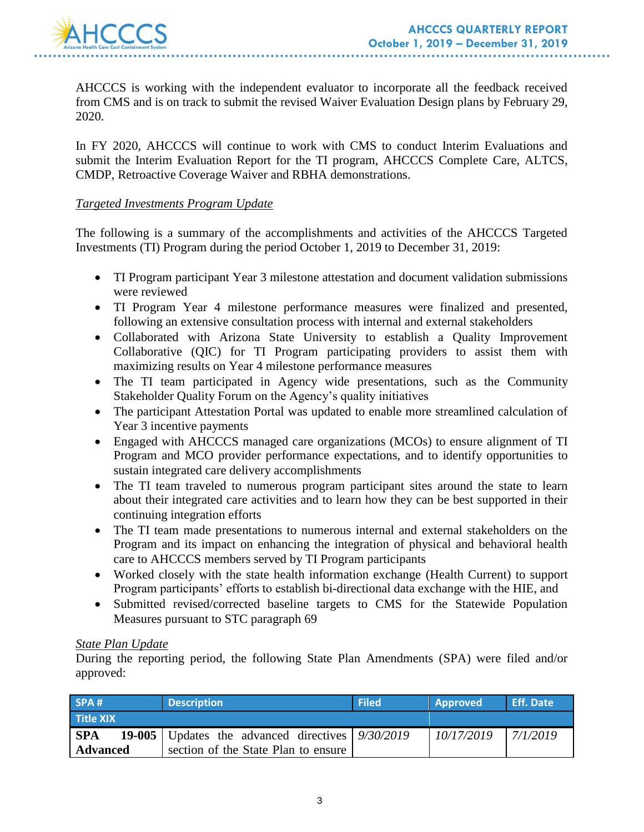

AHCCCS is working with the independent evaluator to incorporate all the feedback received from CMS and is on track to submit the revised Waiver Evaluation Design plans by February 29, 2020.

In FY 2020, AHCCCS will continue to work with CMS to conduct Interim Evaluations and submit the Interim Evaluation Report for the TI program, AHCCCS Complete Care, ALTCS, CMDP, Retroactive Coverage Waiver and RBHA demonstrations.

#### *Targeted Investments Program Update*

The following is a summary of the accomplishments and activities of the AHCCCS Targeted Investments (TI) Program during the period October 1, 2019 to December 31, 2019:

- TI Program participant Year 3 milestone attestation and document validation submissions were reviewed
- TI Program Year 4 milestone performance measures were finalized and presented, following an extensive consultation process with internal and external stakeholders
- Collaborated with Arizona State University to establish a Quality Improvement Collaborative (QIC) for TI Program participating providers to assist them with maximizing results on Year 4 milestone performance measures
- The TI team participated in Agency wide presentations, such as the Community Stakeholder Quality Forum on the Agency's quality initiatives
- The participant Attestation Portal was updated to enable more streamlined calculation of Year 3 incentive payments
- Engaged with AHCCCS managed care organizations (MCOs) to ensure alignment of TI Program and MCO provider performance expectations, and to identify opportunities to sustain integrated care delivery accomplishments
- The TI team traveled to numerous program participant sites around the state to learn about their integrated care activities and to learn how they can be best supported in their continuing integration efforts
- The TI team made presentations to numerous internal and external stakeholders on the Program and its impact on enhancing the integration of physical and behavioral health care to AHCCCS members served by TI Program participants
- Worked closely with the state health information exchange (Health Current) to support Program participants' efforts to establish bi-directional data exchange with the HIE, and
- Submitted revised/corrected baseline targets to CMS for the Statewide Population Measures pursuant to STC paragraph 69

#### *State Plan Update*

During the reporting period, the following State Plan Amendments (SPA) were filed and/or approved:

| SPA#             | <b>Description</b>                                   | <b>Filed</b> | Approved   | <b>Eff. Date</b> |
|------------------|------------------------------------------------------|--------------|------------|------------------|
| <b>Title XIX</b> |                                                      |              |            |                  |
| <b>SPA</b>       | 19-005   Updates the advanced directives $9/30/2019$ |              | 10/17/2019 | 17/1/2019        |
| <b>Advanced</b>  | section of the State Plan to ensure                  |              |            |                  |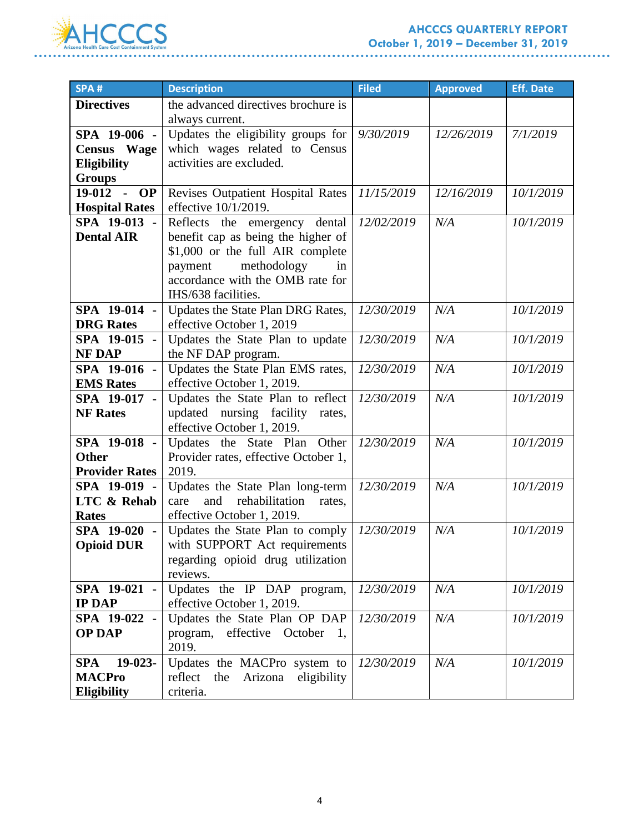

| SPA#                                  | <b>Description</b>                      | <b>Filed</b> | <b>Approved</b> | <b>Eff. Date</b> |
|---------------------------------------|-----------------------------------------|--------------|-----------------|------------------|
| <b>Directives</b>                     | the advanced directives brochure is     |              |                 |                  |
|                                       | always current.                         |              |                 |                  |
| SPA 19-006 -                          | Updates the eligibility groups for      | 9/30/2019    | 12/26/2019      | 7/1/2019         |
| <b>Census</b> Wage                    | which wages related to Census           |              |                 |                  |
| <b>Eligibility</b>                    | activities are excluded.                |              |                 |                  |
| <b>Groups</b>                         |                                         |              |                 |                  |
| 19-012<br><b>OP</b><br>$\blacksquare$ | Revises Outpatient Hospital Rates       | 11/15/2019   | 12/16/2019      | 10/1/2019        |
| <b>Hospital Rates</b>                 | effective 10/1/2019.                    |              |                 |                  |
| SPA 19-013 -                          | Reflects the emergency dental           | 12/02/2019   | N/A             | 10/1/2019        |
| <b>Dental AIR</b>                     | benefit cap as being the higher of      |              |                 |                  |
|                                       | \$1,000 or the full AIR complete        |              |                 |                  |
|                                       | methodology<br>payment<br>in            |              |                 |                  |
|                                       | accordance with the OMB rate for        |              |                 |                  |
|                                       | IHS/638 facilities.                     |              |                 |                  |
| SPA 19-014 -                          | Updates the State Plan DRG Rates,       | 12/30/2019   | N/A             | 10/1/2019        |
| <b>DRG</b> Rates                      | effective October 1, 2019               |              |                 |                  |
| $SPA$ 19-015 -                        | Updates the State Plan to update        | 12/30/2019   | N/A             | 10/1/2019        |
| <b>NF DAP</b>                         | the NF DAP program.                     |              |                 |                  |
| SPA 19-016 -                          | Updates the State Plan EMS rates,       | 12/30/2019   | N/A             | 10/1/2019        |
| <b>EMS</b> Rates                      | effective October 1, 2019.              |              |                 |                  |
| SPA 19-017 -                          | Updates the State Plan to reflect       | 12/30/2019   | N/A             | 10/1/2019        |
| <b>NF Rates</b>                       | updated nursing facility rates,         |              |                 |                  |
|                                       | effective October 1, 2019.              |              |                 |                  |
| SPA 19-018 -                          | Updates the State Plan Other            | 12/30/2019   | N/A             | 10/1/2019        |
| <b>Other</b>                          | Provider rates, effective October 1,    |              |                 |                  |
| <b>Provider Rates</b>                 | 2019.                                   |              |                 |                  |
| SPA 19-019 -                          | Updates the State Plan long-term        | 12/30/2019   | N/A             | 10/1/2019        |
| <b>LTC &amp; Rehab</b>                | rehabilitation<br>and<br>care<br>rates, |              |                 |                  |
| <b>Rates</b>                          | effective October 1, 2019.              |              |                 |                  |
| SPA 19-020 -                          | Updates the State Plan to comply        | 12/30/2019   | N/A             | 10/1/2019        |
| <b>Opioid DUR</b>                     | with SUPPORT Act requirements           |              |                 |                  |
|                                       | regarding opioid drug utilization       |              |                 |                  |
|                                       | reviews.                                |              |                 |                  |
| SPA 19-021 -                          | Updates the IP DAP program,             | 12/30/2019   | N/A             | 10/1/2019        |
| <b>IP DAP</b>                         | effective October 1, 2019.              |              |                 |                  |
| SPA 19-022 -                          | Updates the State Plan OP DAP           | 12/30/2019   | N/A             | 10/1/2019        |
| <b>OP DAP</b>                         | program, effective October<br>1,        |              |                 |                  |
|                                       | 2019.                                   |              |                 |                  |
| 19-023-<br><b>SPA</b>                 | Updates the MACPro system to            | 12/30/2019   | N/A             | 10/1/2019        |
| <b>MACPro</b>                         | eligibility<br>reflect the<br>Arizona   |              |                 |                  |
| Eligibility                           | criteria.                               |              |                 |                  |

. . . . . . . . . .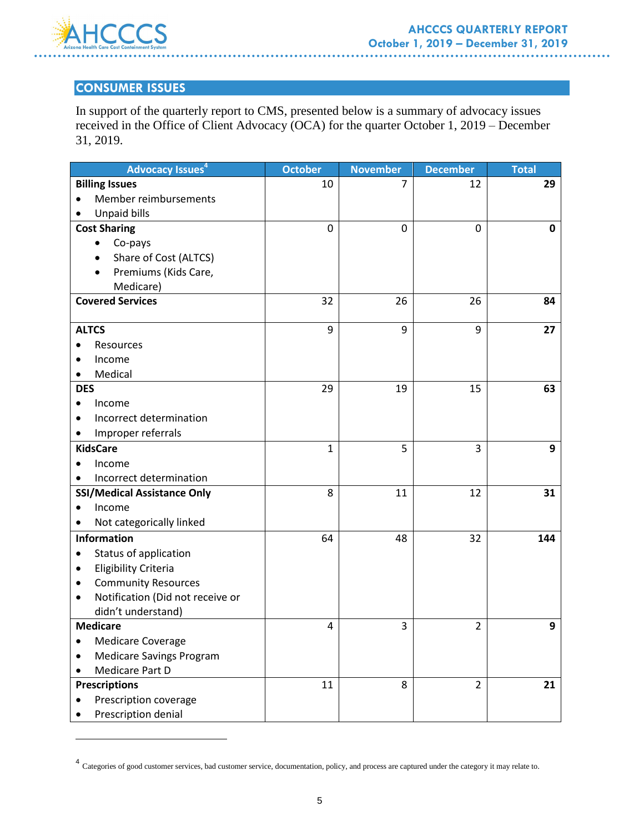

 $\overline{a}$ 

### **CONSUMER ISSUES**

In support of the quarterly report to CMS, presented below is a summary of advocacy issues received in the Office of Client Advocacy (OCA) for the quarter October 1, 2019 – December 31, 2019.

| <b>Advocacy Issues</b> <sup>4</sup>   | <b>October</b> | <b>November</b> | <b>December</b> | <b>Total</b> |
|---------------------------------------|----------------|-----------------|-----------------|--------------|
| <b>Billing Issues</b>                 | 10             | 7               | 12              | 29           |
| Member reimbursements<br>$\bullet$    |                |                 |                 |              |
| <b>Unpaid bills</b>                   |                |                 |                 |              |
| <b>Cost Sharing</b>                   | 0              | 0               | 0               | 0            |
| Co-pays<br>$\bullet$                  |                |                 |                 |              |
| Share of Cost (ALTCS)                 |                |                 |                 |              |
| Premiums (Kids Care,                  |                |                 |                 |              |
| Medicare)                             |                |                 |                 |              |
| <b>Covered Services</b>               | 32             | 26              | 26              | 84           |
|                                       |                |                 |                 |              |
| <b>ALTCS</b>                          | 9              | 9               | 9               | 27           |
| Resources                             |                |                 |                 |              |
| Income                                |                |                 |                 |              |
| Medical                               |                |                 |                 |              |
| <b>DES</b>                            | 29             | 19              | 15              | 63           |
| Income                                |                |                 |                 |              |
| Incorrect determination               |                |                 |                 |              |
| Improper referrals                    |                |                 |                 |              |
| <b>KidsCare</b>                       | 1              | 5               | 3               | 9            |
| Income                                |                |                 |                 |              |
| Incorrect determination               |                |                 |                 |              |
| <b>SSI/Medical Assistance Only</b>    | 8              | 11              | 12              | 31           |
| Income<br>$\bullet$                   |                |                 |                 |              |
| Not categorically linked              |                |                 |                 |              |
| <b>Information</b>                    | 64             | 48              | 32              | 144          |
| Status of application                 |                |                 |                 |              |
| <b>Eligibility Criteria</b><br>٠      |                |                 |                 |              |
| <b>Community Resources</b><br>٠       |                |                 |                 |              |
| Notification (Did not receive or<br>٠ |                |                 |                 |              |
| didn't understand)                    |                |                 |                 |              |
| <b>Medicare</b>                       | 4              | 3               | $\overline{2}$  | 9            |
| <b>Medicare Coverage</b>              |                |                 |                 |              |
| <b>Medicare Savings Program</b>       |                |                 |                 |              |
| Medicare Part D                       |                |                 |                 |              |
| <b>Prescriptions</b>                  | 11             | 8               | $\overline{2}$  | 21           |
| Prescription coverage                 |                |                 |                 |              |
| Prescription denial                   |                |                 |                 |              |

<sup>4&</sup>lt;br>Categories of good customer services, bad customer service, documentation, policy, and process are captured under the category it may relate to.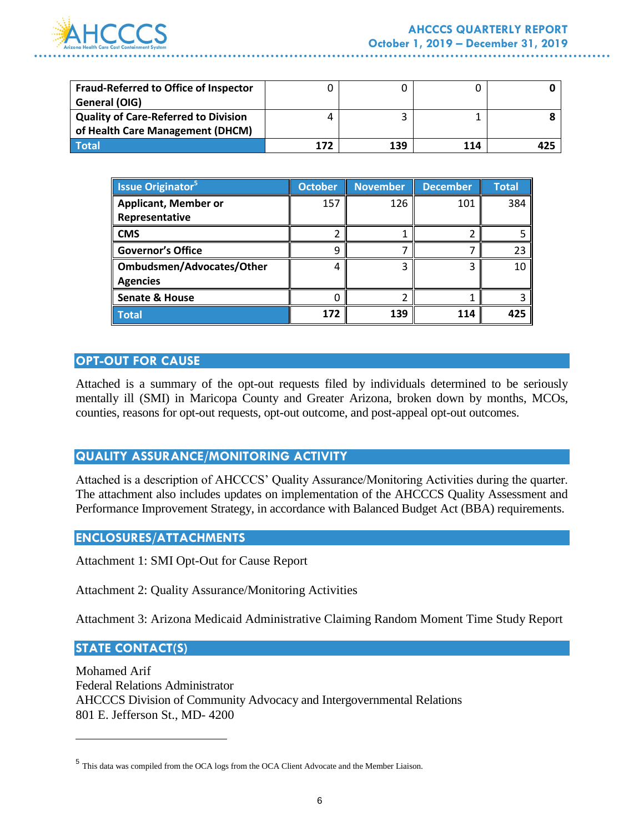

| <b>Fraud-Referred to Office of Inspector</b><br>General (OIG) |     |     |     |  |
|---------------------------------------------------------------|-----|-----|-----|--|
| <b>Quality of Care-Referred to Division</b>                   |     |     |     |  |
| of Health Care Management (DHCM)                              |     |     |     |  |
| Total                                                         | 172 | 139 | 114 |  |

| <b>Issue Originator</b> <sup>5</sup> | <b>October</b> | <b>November</b> | <b>December</b> | <b>Total</b> |
|--------------------------------------|----------------|-----------------|-----------------|--------------|
| <b>Applicant, Member or</b>          | 157            | 126             | 101             | 384          |
| Representative                       |                |                 |                 |              |
| <b>CMS</b>                           |                |                 |                 |              |
| <b>Governor's Office</b>             | q              |                 |                 | 23           |
| Ombudsmen/Advocates/Other            |                |                 |                 | 10           |
| <b>Agencies</b>                      |                |                 |                 |              |
| <b>Senate &amp; House</b>            |                |                 |                 |              |
| <b>Total</b>                         | 172            | 139             | 114             | 425          |

### **OPT-OUT FOR CAUSE**

Attached is a summary of the opt-out requests filed by individuals determined to be seriously mentally ill (SMI) in Maricopa County and Greater Arizona, broken down by months, MCOs, counties, reasons for opt-out requests, opt-out outcome, and post-appeal opt-out outcomes.

#### **QUALITY ASSURANCE/MONITORING ACTIVITY**

Attached is a description of AHCCCS' Quality Assurance/Monitoring Activities during the quarter. The attachment also includes updates on implementation of the AHCCCS Quality Assessment and Performance Improvement Strategy, in accordance with Balanced Budget Act (BBA) requirements.

#### **ENCLOSURES/ATTACHMENTS**

Attachment 1: SMI Opt-Out for Cause Report

Attachment 2: Quality Assurance/Monitoring Activities

Attachment 3: Arizona Medicaid Administrative Claiming Random Moment Time Study Report

#### **STATE CONTACT(S)**

 $\overline{a}$ 

Mohamed Arif Federal Relations Administrator AHCCCS Division of Community Advocacy and Intergovernmental Relations 801 E. Jefferson St., MD- 4200

<sup>5</sup> This data was compiled from the OCA logs from the OCA Client Advocate and the Member Liaison.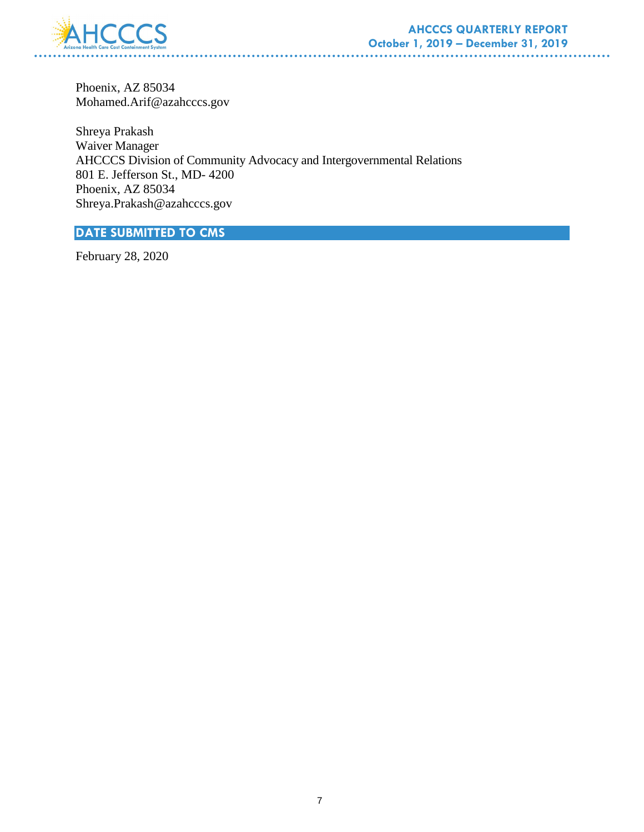

Phoenix, AZ 85034 Mohamed.Arif@azahcccs.gov

Shreya Prakash Waiver Manager AHCCCS Division of Community Advocacy and Intergovernmental Relations 801 E. Jefferson St., MD- 4200 Phoenix, AZ 85034 Shreya.Prakash@azahcccs.gov

. . . . . . . . . . . . . .

### **DATE SUBMITTED TO CMS**

February 28, 2020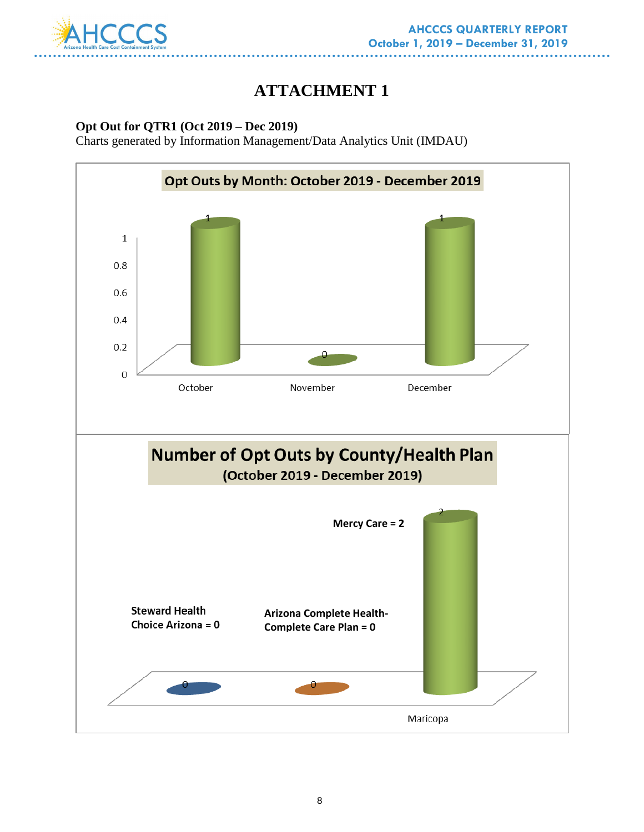

# **ATTACHMENT 1**

#### **Opt Out for QTR1 (Oct 2019 – Dec 2019)**

Charts generated by Information Management/Data Analytics Unit (IMDAU)

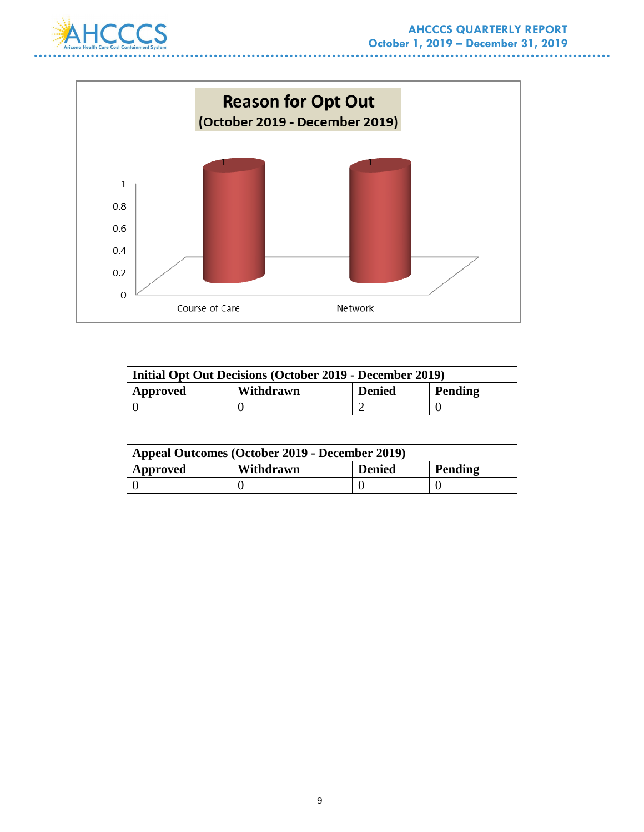



| <b>Initial Opt Out Decisions (October 2019 - December 2019)</b> |           |               |         |
|-----------------------------------------------------------------|-----------|---------------|---------|
| Approved                                                        | Withdrawn | <b>Denied</b> | Pending |
|                                                                 |           |               |         |

| Appeal Outcomes (October 2019 - December 2019) |           |               |         |
|------------------------------------------------|-----------|---------------|---------|
| Approved                                       | Withdrawn | <b>Denied</b> | Pending |
|                                                |           |               |         |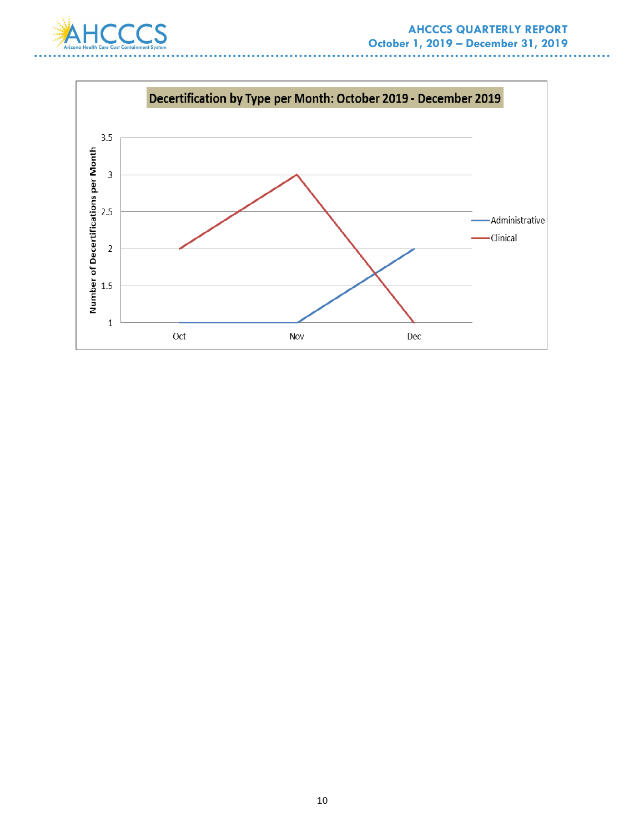. .



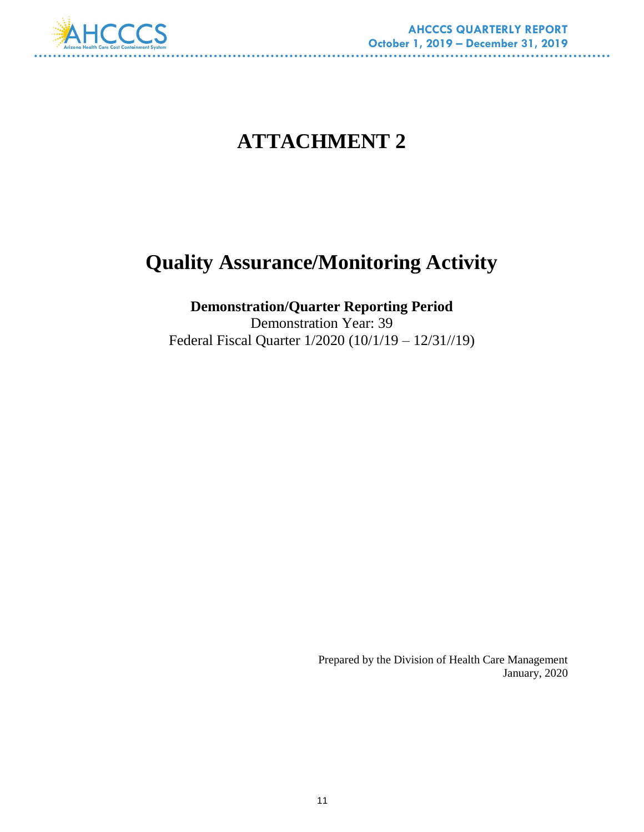

# **ATTACHMENT 2**

# **Quality Assurance/Monitoring Activity**

# **Demonstration/Quarter Reporting Period**

Demonstration Year: 39 Federal Fiscal Quarter 1/2020 (10/1/19 – 12/31//19)

> Prepared by the Division of Health Care Management January, 2020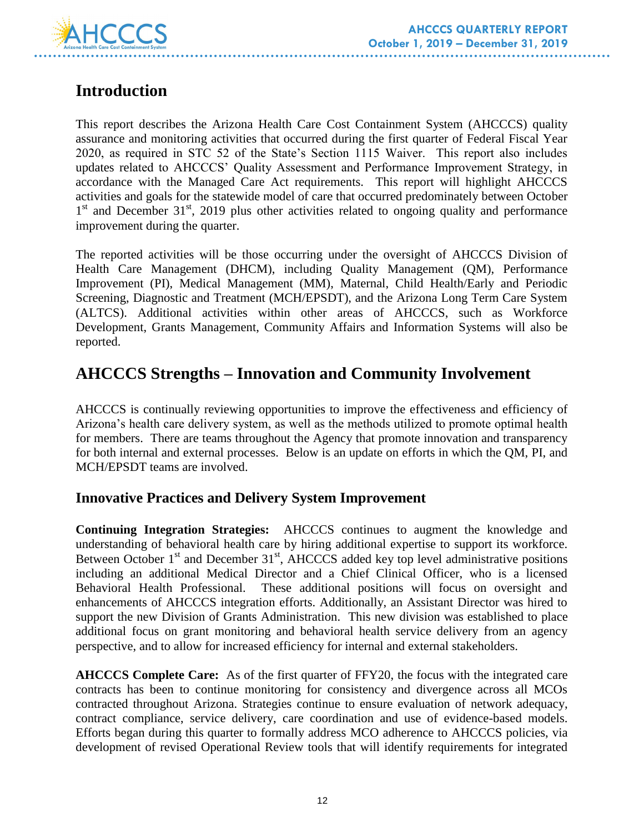

# **Introduction**

This report describes the Arizona Health Care Cost Containment System (AHCCCS) quality assurance and monitoring activities that occurred during the first quarter of Federal Fiscal Year 2020, as required in STC 52 of the State's Section 1115 Waiver. This report also includes updates related to AHCCCS' Quality Assessment and Performance Improvement Strategy, in accordance with the Managed Care Act requirements. This report will highlight AHCCCS activities and goals for the statewide model of care that occurred predominately between October 1<sup>st</sup> and December 31<sup>st</sup>, 2019 plus other activities related to ongoing quality and performance improvement during the quarter.

The reported activities will be those occurring under the oversight of AHCCCS Division of Health Care Management (DHCM), including Quality Management (QM), Performance Improvement (PI), Medical Management (MM), Maternal, Child Health/Early and Periodic Screening, Diagnostic and Treatment (MCH/EPSDT), and the Arizona Long Term Care System (ALTCS). Additional activities within other areas of AHCCCS, such as Workforce Development, Grants Management, Community Affairs and Information Systems will also be reported.

# **AHCCCS Strengths – Innovation and Community Involvement**

AHCCCS is continually reviewing opportunities to improve the effectiveness and efficiency of Arizona's health care delivery system, as well as the methods utilized to promote optimal health for members. There are teams throughout the Agency that promote innovation and transparency for both internal and external processes. Below is an update on efforts in which the QM, PI, and MCH/EPSDT teams are involved.

## **Innovative Practices and Delivery System Improvement**

**Continuing Integration Strategies:**AHCCCS continues to augment the knowledge and understanding of behavioral health care by hiring additional expertise to support its workforce. Between October  $1<sup>st</sup>$  and December 31 $<sup>st</sup>$ , AHCCCS added key top level administrative positions</sup> including an additional Medical Director and a Chief Clinical Officer, who is a licensed Behavioral Health Professional. These additional positions will focus on oversight and enhancements of AHCCCS integration efforts. Additionally, an Assistant Director was hired to support the new Division of Grants Administration. This new division was established to place additional focus on grant monitoring and behavioral health service delivery from an agency perspective, and to allow for increased efficiency for internal and external stakeholders.

**AHCCCS Complete Care:**As of the first quarter of FFY20, the focus with the integrated care contracts has been to continue monitoring for consistency and divergence across all MCOs contracted throughout Arizona. Strategies continue to ensure evaluation of network adequacy, contract compliance, service delivery, care coordination and use of evidence-based models. Efforts began during this quarter to formally address MCO adherence to AHCCCS policies, via development of revised Operational Review tools that will identify requirements for integrated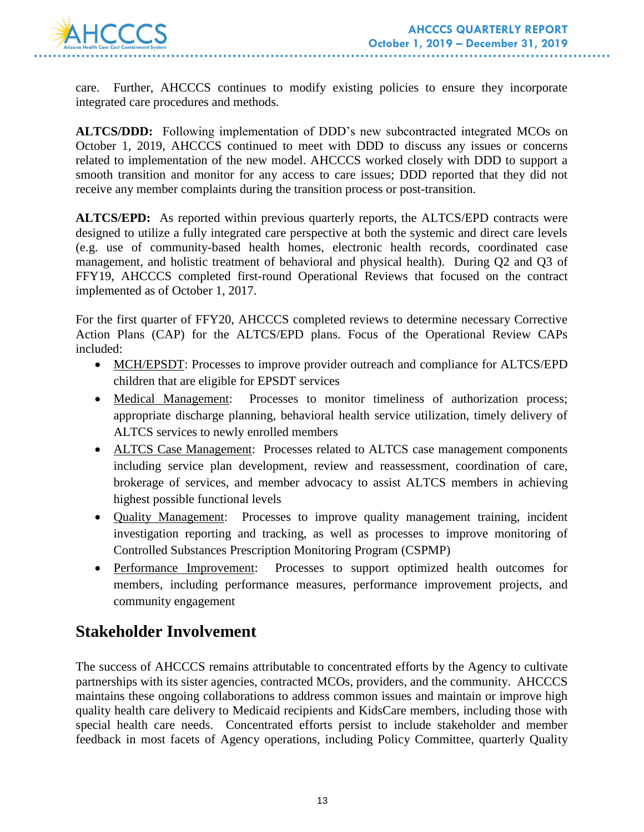

care. Further, AHCCCS continues to modify existing policies to ensure they incorporate integrated care procedures and methods.

**ALTCS/DDD:** Following implementation of DDD's new subcontracted integrated MCOs on October 1, 2019, AHCCCS continued to meet with DDD to discuss any issues or concerns related to implementation of the new model. AHCCCS worked closely with DDD to support a smooth transition and monitor for any access to care issues; DDD reported that they did not receive any member complaints during the transition process or post-transition.

**ALTCS/EPD:**As reported within previous quarterly reports, the ALTCS/EPD contracts were designed to utilize a fully integrated care perspective at both the systemic and direct care levels (e.g. use of community-based health homes, electronic health records, coordinated case management, and holistic treatment of behavioral and physical health). During Q2 and Q3 of FFY19, AHCCCS completed first-round Operational Reviews that focused on the contract implemented as of October 1, 2017.

For the first quarter of FFY20, AHCCCS completed reviews to determine necessary Corrective Action Plans (CAP) for the ALTCS/EPD plans. Focus of the Operational Review CAPs included:

- MCH/EPSDT: Processes to improve provider outreach and compliance for ALTCS/EPD children that are eligible for EPSDT services
- Medical Management: Processes to monitor timeliness of authorization process; appropriate discharge planning, behavioral health service utilization, timely delivery of ALTCS services to newly enrolled members
- ALTCS Case Management: Processes related to ALTCS case management components including service plan development, review and reassessment, coordination of care, brokerage of services, and member advocacy to assist ALTCS members in achieving highest possible functional levels
- Quality Management: Processes to improve quality management training, incident investigation reporting and tracking, as well as processes to improve monitoring of Controlled Substances Prescription Monitoring Program (CSPMP)
- Performance Improvement: Processes to support optimized health outcomes for members, including performance measures, performance improvement projects, and community engagement

# **Stakeholder Involvement**

The success of AHCCCS remains attributable to concentrated efforts by the Agency to cultivate partnerships with its sister agencies, contracted MCOs, providers, and the community. AHCCCS maintains these ongoing collaborations to address common issues and maintain or improve high quality health care delivery to Medicaid recipients and KidsCare members, including those with special health care needs. Concentrated efforts persist to include stakeholder and member feedback in most facets of Agency operations, including Policy Committee, quarterly Quality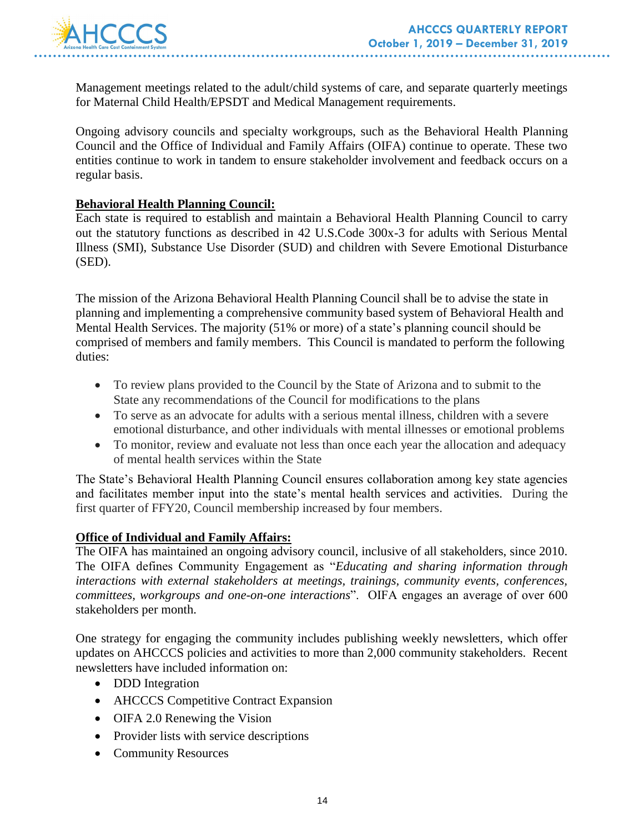

Management meetings related to the adult/child systems of care, and separate quarterly meetings for Maternal Child Health/EPSDT and Medical Management requirements.

Ongoing advisory councils and specialty workgroups, such as the Behavioral Health Planning Council and the Office of Individual and Family Affairs (OIFA) continue to operate. These two entities continue to work in tandem to ensure stakeholder involvement and feedback occurs on a regular basis.

#### **Behavioral Health Planning Council:**

Each state is required to establish and maintain a Behavioral Health Planning Council to carry out the statutory functions as described in 42 U.S.Code 300x-3 for adults with Serious Mental Illness (SMI), Substance Use Disorder (SUD) and children with Severe Emotional Disturbance (SED).

The mission of the Arizona Behavioral Health Planning Council shall be to advise the state in planning and implementing a comprehensive community based system of Behavioral Health and Mental Health Services. The majority (51% or more) of a state's planning council should be comprised of members and family members. This Council is mandated to perform the following duties:

- To review plans provided to the Council by the State of Arizona and to submit to the State any recommendations of the Council for modifications to the plans
- To serve as an advocate for adults with a serious mental illness, children with a severe emotional disturbance, and other individuals with mental illnesses or emotional problems
- To monitor, review and evaluate not less than once each year the allocation and adequacy of mental health services within the State

The State's Behavioral Health Planning Council ensures collaboration among key state agencies and facilitates member input into the state's mental health services and activities. During the first quarter of FFY20, Council membership increased by four members.

#### **Office of Individual and Family Affairs:**

The OIFA has maintained an ongoing advisory council, inclusive of all stakeholders, since 2010. The OIFA defines Community Engagement as "*Educating and sharing information through interactions with external stakeholders at meetings, trainings, community events, conferences, committees, workgroups and one-on-one interactions*". OIFA engages an average of over 600 stakeholders per month.

One strategy for engaging the community includes publishing weekly newsletters, which offer updates on AHCCCS policies and activities to more than 2,000 community stakeholders. Recent newsletters have included information on:

- DDD Integration
- AHCCCS Competitive Contract Expansion
- OIFA 2.0 Renewing the Vision
- Provider lists with service descriptions
- Community Resources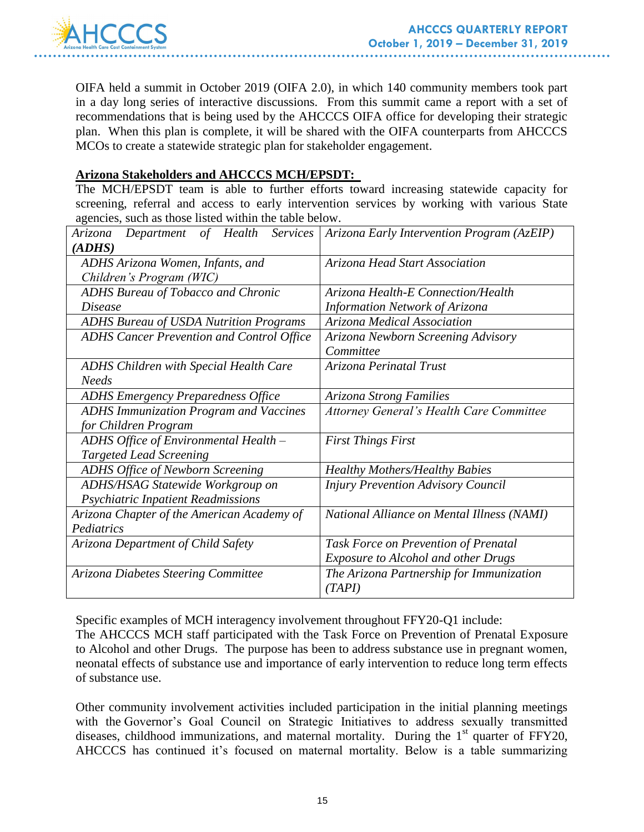

OIFA held a summit in October 2019 (OIFA 2.0), in which 140 community members took part in a day long series of interactive discussions. From this summit came a report with a set of recommendations that is being used by the AHCCCS OIFA office for developing their strategic plan. When this plan is complete, it will be shared with the OIFA counterparts from AHCCCS MCOs to create a statewide strategic plan for stakeholder engagement.

#### **Arizona Stakeholders and AHCCCS MCH/EPSDT:**

The MCH/EPSDT team is able to further efforts toward increasing statewide capacity for screening, referral and access to early intervention services by working with various State agencies, such as those listed within the table below.

| Services<br>Arizona<br>Department<br>$\sigma f$<br>Health | Arizona Early Intervention Program (AzEIP)      |  |
|-----------------------------------------------------------|-------------------------------------------------|--|
| (ADHS)                                                    |                                                 |  |
| ADHS Arizona Women, Infants, and                          | Arizona Head Start Association                  |  |
| Children's Program (WIC)                                  |                                                 |  |
| <b>ADHS Bureau of Tobacco and Chronic</b>                 | Arizona Health-E Connection/Health              |  |
| <i>Disease</i>                                            | Information Network of Arizona                  |  |
| <b>ADHS Bureau of USDA Nutrition Programs</b>             | Arizona Medical Association                     |  |
| <b>ADHS Cancer Prevention and Control Office</b>          | Arizona Newborn Screening Advisory              |  |
|                                                           | Committee                                       |  |
| <b>ADHS Children with Special Health Care</b>             | Arizona Perinatal Trust                         |  |
| <b>Needs</b>                                              |                                                 |  |
| <b>ADHS Emergency Preparedness Office</b>                 | Arizona Strong Families                         |  |
| <b>ADHS Immunization Program and Vaccines</b>             | <b>Attorney General's Health Care Committee</b> |  |
| for Children Program                                      |                                                 |  |
| ADHS Office of Environmental Health -                     | <b>First Things First</b>                       |  |
| <b>Targeted Lead Screening</b>                            |                                                 |  |
| <b>ADHS Office of Newborn Screening</b>                   | <b>Healthy Mothers/Healthy Babies</b>           |  |
| ADHS/HSAG Statewide Workgroup on                          | <b>Injury Prevention Advisory Council</b>       |  |
| Psychiatric Inpatient Readmissions                        |                                                 |  |
| Arizona Chapter of the American Academy of                | National Alliance on Mental Illness (NAMI)      |  |
| Pediatrics                                                |                                                 |  |
| Arizona Department of Child Safety                        | Task Force on Prevention of Prenatal            |  |
|                                                           | <b>Exposure to Alcohol and other Drugs</b>      |  |
| Arizona Diabetes Steering Committee                       | The Arizona Partnership for Immunization        |  |
|                                                           | (TAPI)                                          |  |

Specific examples of MCH interagency involvement throughout FFY20-Q1 include:

The AHCCCS MCH staff participated with the Task Force on Prevention of Prenatal Exposure to Alcohol and other Drugs. The purpose has been to address substance use in pregnant women, neonatal effects of substance use and importance of early intervention to reduce long term effects of substance use.

Other community involvement activities included participation in the initial planning meetings with the Governor's Goal Council on Strategic Initiatives to address sexually transmitted diseases, childhood immunizations, and maternal mortality. During the  $1<sup>st</sup>$  quarter of FFY20, AHCCCS has continued it's focused on maternal mortality. Below is a table summarizing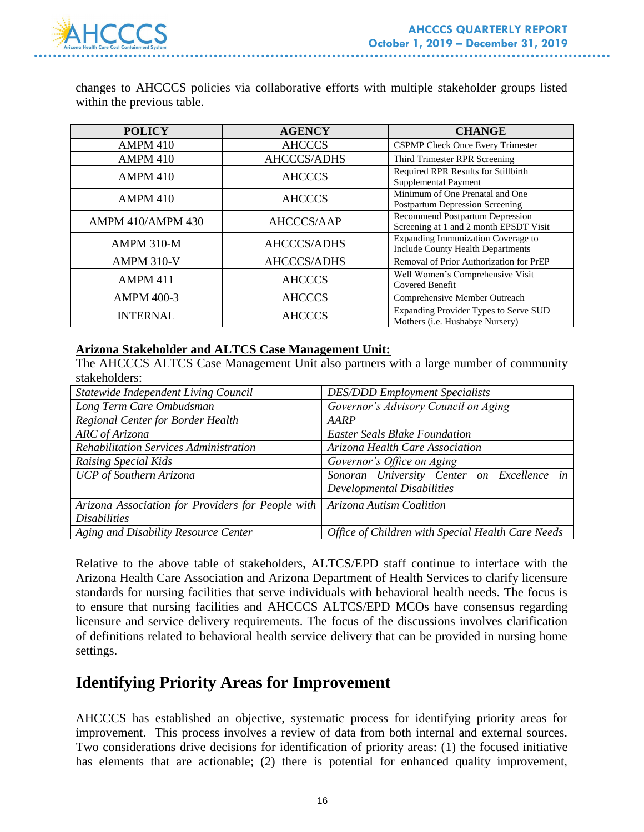

changes to AHCCCS policies via collaborative efforts with multiple stakeholder groups listed within the previous table.

| <b>POLICY</b>            | <b>AGENCY</b>      | <b>CHANGE</b>                                                                  |
|--------------------------|--------------------|--------------------------------------------------------------------------------|
| <b>AMPM 410</b>          | <b>AHCCCS</b>      | <b>CSPMP</b> Check Once Every Trimester                                        |
| <b>AMPM 410</b>          | AHCCCS/ADHS        | Third Trimester RPR Screening                                                  |
| <b>AMPM 410</b>          | <b>AHCCCS</b>      | Required RPR Results for Stillbirth<br>Supplemental Payment                    |
| <b>AMPM 410</b>          | <b>AHCCCS</b>      | Minimum of One Prenatal and One<br><b>Postpartum Depression Screening</b>      |
| <b>AMPM 410/AMPM 430</b> | AHCCCS/AAP         | Recommend Postpartum Depression<br>Screening at 1 and 2 month EPSDT Visit      |
| <b>AMPM 310-M</b>        | <b>AHCCCS/ADHS</b> | Expanding Immunization Coverage to<br><b>Include County Health Departments</b> |
| <b>AMPM 310-V</b>        | <b>AHCCCS/ADHS</b> | Removal of Prior Authorization for PrEP                                        |
| <b>AMPM 411</b>          | <b>AHCCCS</b>      | Well Women's Comprehensive Visit<br>Covered Benefit                            |
| <b>AMPM 400-3</b>        | <b>AHCCCS</b>      | Comprehensive Member Outreach                                                  |
| <b>INTERNAL</b>          | <b>AHCCCS</b>      | Expanding Provider Types to Serve SUD<br>Mothers (i.e. Hushabye Nursery)       |

#### **Arizona Stakeholder and ALTCS Case Management Unit:**

The AHCCCS ALTCS Case Management Unit also partners with a large number of community stakeholders:

| Statewide Independent Living Council              | <b>DES/DDD</b> Employment Specialists             |
|---------------------------------------------------|---------------------------------------------------|
| Long Term Care Ombudsman                          | Governor's Advisory Council on Aging              |
| Regional Center for Border Health                 | AARP                                              |
| ARC of Arizona                                    | <b>Easter Seals Blake Foundation</b>              |
| <b>Rehabilitation Services Administration</b>     | Arizona Health Care Association                   |
| Raising Special Kids                              | Governor's Office on Aging                        |
| UCP of Southern Arizona                           | Sonoran University Center on Excellence in        |
|                                                   | <b>Developmental Disabilities</b>                 |
| Arizona Association for Providers for People with | Arizona Autism Coalition                          |
| <i>Disabilities</i>                               |                                                   |
| Aging and Disability Resource Center              | Office of Children with Special Health Care Needs |

Relative to the above table of stakeholders, ALTCS/EPD staff continue to interface with the Arizona Health Care Association and Arizona Department of Health Services to clarify licensure standards for nursing facilities that serve individuals with behavioral health needs. The focus is to ensure that nursing facilities and AHCCCS ALTCS/EPD MCOs have consensus regarding licensure and service delivery requirements. The focus of the discussions involves clarification of definitions related to behavioral health service delivery that can be provided in nursing home settings.

# **Identifying Priority Areas for Improvement**

AHCCCS has established an objective, systematic process for identifying priority areas for improvement. This process involves a review of data from both internal and external sources. Two considerations drive decisions for identification of priority areas: (1) the focused initiative has elements that are actionable; (2) there is potential for enhanced quality improvement,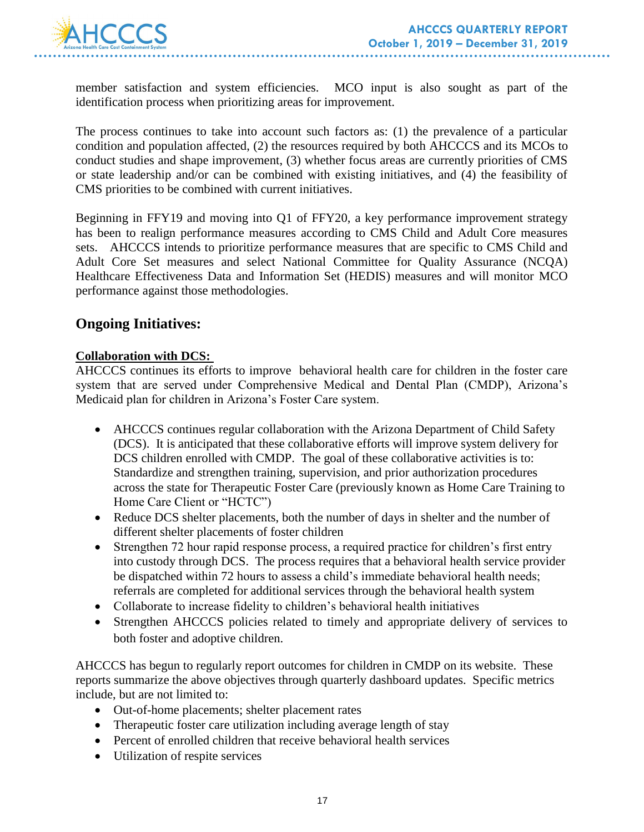

member satisfaction and system efficiencies. MCO input is also sought as part of the identification process when prioritizing areas for improvement.

The process continues to take into account such factors as: (1) the prevalence of a particular condition and population affected, (2) the resources required by both AHCCCS and its MCOs to conduct studies and shape improvement, (3) whether focus areas are currently priorities of CMS or state leadership and/or can be combined with existing initiatives, and (4) the feasibility of CMS priorities to be combined with current initiatives.

Beginning in FFY19 and moving into Q1 of FFY20, a key performance improvement strategy has been to realign performance measures according to CMS Child and Adult Core measures sets. AHCCCS intends to prioritize performance measures that are specific to CMS Child and Adult Core Set measures and select National Committee for Quality Assurance (NCQA) Healthcare Effectiveness Data and Information Set (HEDIS) measures and will monitor MCO performance against those methodologies.

## **Ongoing Initiatives:**

#### **Collaboration with DCS:**

AHCCCS continues its efforts to improve behavioral health care for children in the foster care system that are served under Comprehensive Medical and Dental Plan (CMDP), Arizona's Medicaid plan for children in Arizona's Foster Care system.

- AHCCCS continues regular collaboration with the Arizona Department of Child Safety (DCS). It is anticipated that these collaborative efforts will improve system delivery for DCS children enrolled with CMDP. The goal of these collaborative activities is to: Standardize and strengthen training, supervision, and prior authorization procedures across the state for Therapeutic Foster Care (previously known as Home Care Training to Home Care Client or "HCTC")
- Reduce DCS shelter placements, both the number of days in shelter and the number of different shelter placements of foster children
- Strengthen 72 hour rapid response process, a required practice for children's first entry into custody through DCS. The process requires that a behavioral health service provider be dispatched within 72 hours to assess a child's immediate behavioral health needs; referrals are completed for additional services through the behavioral health system
- Collaborate to increase fidelity to children's behavioral health initiatives
- Strengthen AHCCCS policies related to timely and appropriate delivery of services to both foster and adoptive children.

AHCCCS has begun to regularly report outcomes for children in CMDP on its website. These reports summarize the above objectives through quarterly dashboard updates. Specific metrics include, but are not limited to:

- Out-of-home placements; shelter placement rates
- Therapeutic foster care utilization including average length of stay
- Percent of enrolled children that receive behavioral health services
- Utilization of respite services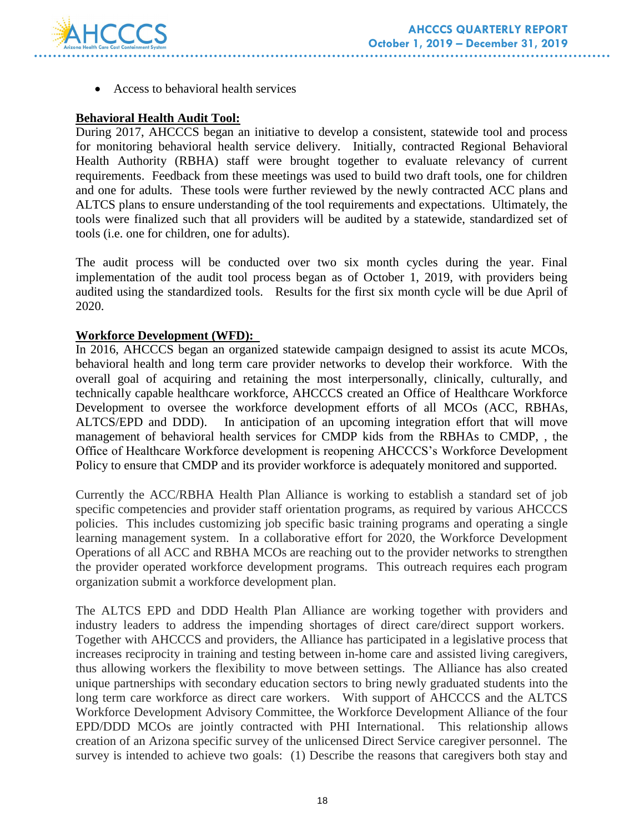

Access to behavioral health services

### **Behavioral Health Audit Tool:**

During 2017, AHCCCS began an initiative to develop a consistent, statewide tool and process for monitoring behavioral health service delivery. Initially, contracted Regional Behavioral Health Authority (RBHA) staff were brought together to evaluate relevancy of current requirements. Feedback from these meetings was used to build two draft tools, one for children and one for adults. These tools were further reviewed by the newly contracted ACC plans and ALTCS plans to ensure understanding of the tool requirements and expectations. Ultimately, the tools were finalized such that all providers will be audited by a statewide, standardized set of tools (i.e. one for children, one for adults).

The audit process will be conducted over two six month cycles during the year. Final implementation of the audit tool process began as of October 1, 2019, with providers being audited using the standardized tools. Results for the first six month cycle will be due April of 2020.

#### **Workforce Development (WFD):**

In 2016, AHCCCS began an organized statewide campaign designed to assist its acute MCOs, behavioral health and long term care provider networks to develop their workforce. With the overall goal of acquiring and retaining the most interpersonally, clinically, culturally, and technically capable healthcare workforce, AHCCCS created an Office of Healthcare Workforce Development to oversee the workforce development efforts of all MCOs (ACC, RBHAs, ALTCS/EPD and DDD). In anticipation of an upcoming integration effort that will move management of behavioral health services for CMDP kids from the RBHAs to CMDP, , the Office of Healthcare Workforce development is reopening AHCCCS's Workforce Development Policy to ensure that CMDP and its provider workforce is adequately monitored and supported.

Currently the ACC/RBHA Health Plan Alliance is working to establish a standard set of job specific competencies and provider staff orientation programs, as required by various AHCCCS policies. This includes customizing job specific basic training programs and operating a single learning management system. In a collaborative effort for 2020, the Workforce Development Operations of all ACC and RBHA MCOs are reaching out to the provider networks to strengthen the provider operated workforce development programs. This outreach requires each program organization submit a workforce development plan.

The ALTCS EPD and DDD Health Plan Alliance are working together with providers and industry leaders to address the impending shortages of direct care/direct support workers. Together with AHCCCS and providers, the Alliance has participated in a legislative process that increases reciprocity in training and testing between in-home care and assisted living caregivers, thus allowing workers the flexibility to move between settings. The Alliance has also created unique partnerships with secondary education sectors to bring newly graduated students into the long term care workforce as direct care workers. With support of AHCCCS and the ALTCS Workforce Development Advisory Committee, the Workforce Development Alliance of the four EPD/DDD MCOs are jointly contracted with PHI International. This relationship allows creation of an Arizona specific survey of the unlicensed Direct Service caregiver personnel. The survey is intended to achieve two goals: (1) Describe the reasons that caregivers both stay and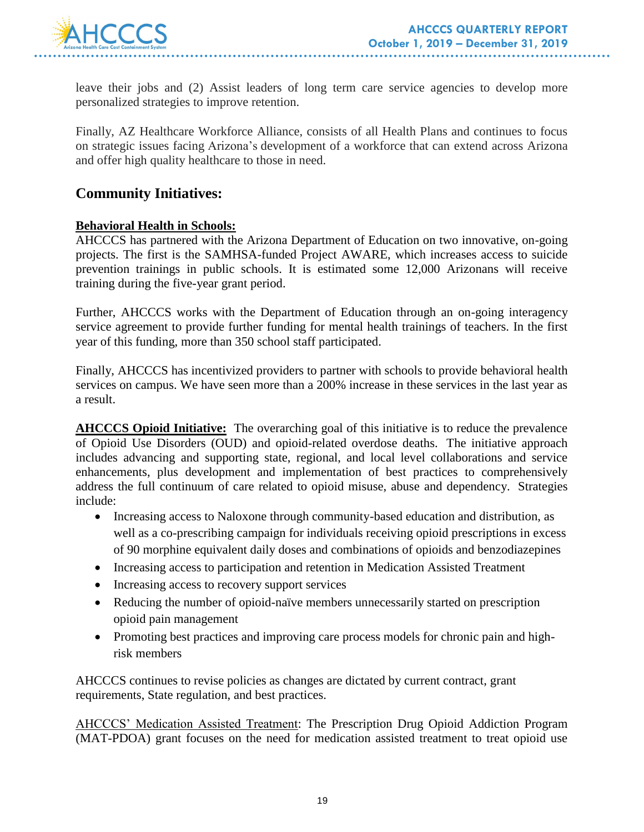

leave their jobs and (2) Assist leaders of long term care service agencies to develop more personalized strategies to improve retention.

Finally, AZ Healthcare Workforce Alliance, consists of all Health Plans and continues to focus on strategic issues facing Arizona's development of a workforce that can extend across Arizona and offer high quality healthcare to those in need.

### **Community Initiatives:**

#### **Behavioral Health in Schools:**

AHCCCS has partnered with the Arizona Department of Education on two innovative, on-going projects. The first is the SAMHSA-funded Project AWARE, which increases access to suicide prevention trainings in public schools. It is estimated some 12,000 Arizonans will receive training during the five-year grant period.

Further, AHCCCS works with the Department of Education through an on-going interagency service agreement to provide further funding for mental health trainings of teachers. In the first year of this funding, more than 350 school staff participated.

Finally, AHCCCS has incentivized providers to partner with schools to provide behavioral health services on campus. We have seen more than a 200% increase in these services in the last year as a result.

**AHCCCS Opioid Initiative:** The overarching goal of this initiative is to reduce the prevalence of Opioid Use Disorders (OUD) and opioid-related overdose deaths. The initiative approach includes advancing and supporting state, regional, and local level collaborations and service enhancements, plus development and implementation of best practices to comprehensively address the full continuum of care related to opioid misuse, abuse and dependency. Strategies include:

- Increasing access to Naloxone through community-based education and distribution, as well as a co-prescribing campaign for individuals receiving opioid prescriptions in excess of 90 morphine equivalent daily doses and combinations of opioids and benzodiazepines
- Increasing access to participation and retention in Medication Assisted Treatment
- Increasing access to recovery support services
- Reducing the number of opioid-naïve members unnecessarily started on prescription opioid pain management
- Promoting best practices and improving care process models for chronic pain and highrisk members

AHCCCS continues to revise policies as changes are dictated by current contract, grant requirements, State regulation, and best practices.

AHCCCS' Medication Assisted Treatment: The Prescription Drug Opioid Addiction Program (MAT-PDOA) grant focuses on the need for medication assisted treatment to treat opioid use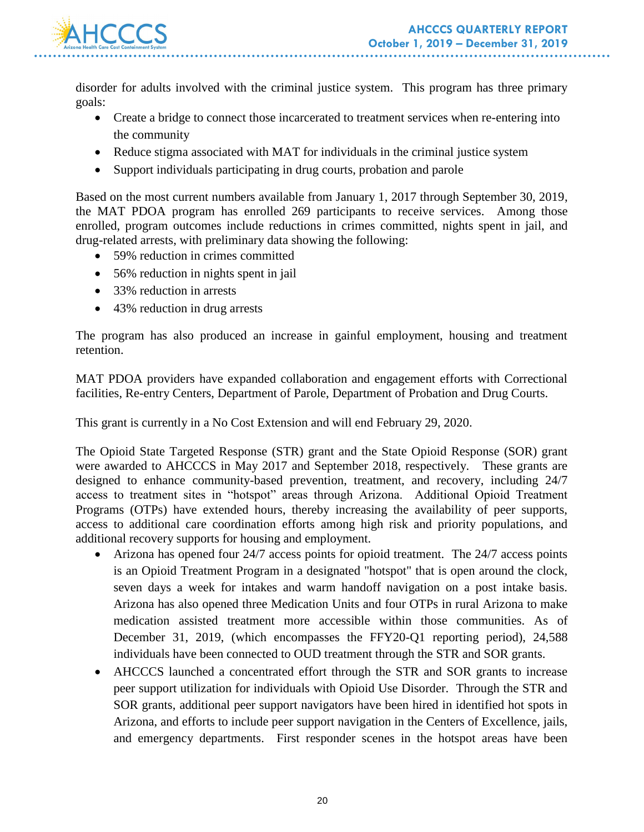

disorder for adults involved with the criminal justice system. This program has three primary goals:

- Create a bridge to connect those incarcerated to treatment services when re-entering into the community
- Reduce stigma associated with MAT for individuals in the criminal justice system
- Support individuals participating in drug courts, probation and parole

Based on the most current numbers available from January 1, 2017 through September 30, 2019, the MAT PDOA program has enrolled 269 participants to receive services. Among those enrolled, program outcomes include reductions in crimes committed, nights spent in jail, and drug-related arrests, with preliminary data showing the following:

- 59% reduction in crimes committed
- 56% reduction in nights spent in jail
- 33% reduction in arrests
- 43% reduction in drug arrests

The program has also produced an increase in gainful employment, housing and treatment retention.

MAT PDOA providers have expanded collaboration and engagement efforts with Correctional facilities, Re-entry Centers, Department of Parole, Department of Probation and Drug Courts.

This grant is currently in a No Cost Extension and will end February 29, 2020.

The Opioid State Targeted Response (STR) grant and the State Opioid Response (SOR) grant were awarded to AHCCCS in May 2017 and September 2018, respectively. These grants are designed to enhance community-based prevention, treatment, and recovery, including 24/7 access to treatment sites in "hotspot" areas through Arizona. Additional Opioid Treatment Programs (OTPs) have extended hours, thereby increasing the availability of peer supports, access to additional care coordination efforts among high risk and priority populations, and additional recovery supports for housing and employment.

- Arizona has opened four 24/7 access points for opioid treatment. The 24/7 access points is an Opioid Treatment Program in a designated "hotspot" that is open around the clock, seven days a week for intakes and warm handoff navigation on a post intake basis. Arizona has also opened three Medication Units and four OTPs in rural Arizona to make medication assisted treatment more accessible within those communities. As of December 31, 2019, (which encompasses the FFY20-Q1 reporting period), 24,588 individuals have been connected to OUD treatment through the STR and SOR grants.
- AHCCCS launched a concentrated effort through the STR and SOR grants to increase peer support utilization for individuals with Opioid Use Disorder. Through the STR and SOR grants, additional peer support navigators have been hired in identified hot spots in Arizona, and efforts to include peer support navigation in the Centers of Excellence, jails, and emergency departments. First responder scenes in the hotspot areas have been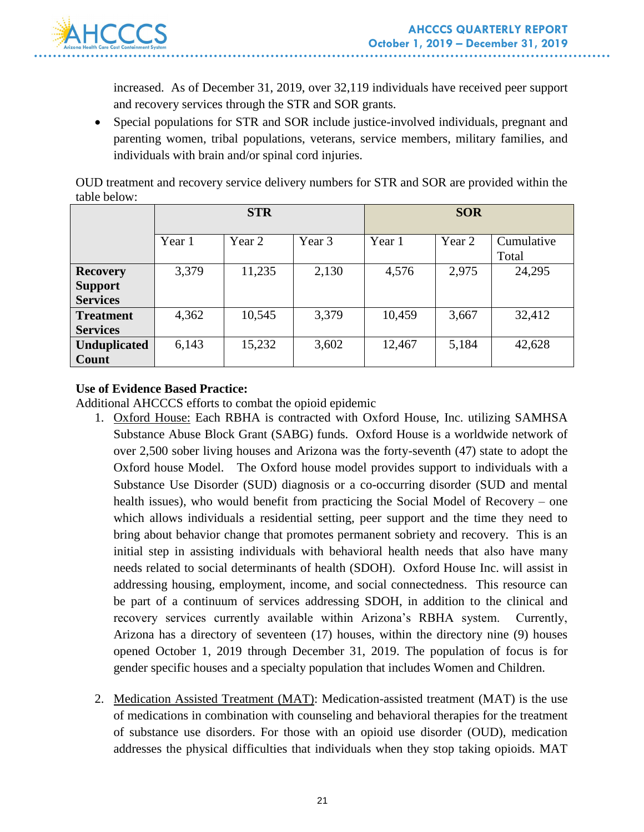

increased. As of December 31, 2019, over 32,119 individuals have received peer support and recovery services through the STR and SOR grants.

 Special populations for STR and SOR include justice-involved individuals, pregnant and parenting women, tribal populations, veterans, service members, military families, and individuals with brain and/or spinal cord injuries.

OUD treatment and recovery service delivery numbers for STR and SOR are provided within the table below:

|                     | <b>STR</b> |        |        | <b>SOR</b> |        |            |
|---------------------|------------|--------|--------|------------|--------|------------|
|                     |            |        |        |            |        |            |
|                     | Year 1     | Year 2 | Year 3 | Year 1     | Year 2 | Cumulative |
|                     |            |        |        |            |        | Total      |
| <b>Recovery</b>     | 3,379      | 11,235 | 2,130  | 4,576      | 2,975  | 24,295     |
| <b>Support</b>      |            |        |        |            |        |            |
| <b>Services</b>     |            |        |        |            |        |            |
| <b>Treatment</b>    | 4,362      | 10,545 | 3,379  | 10,459     | 3,667  | 32,412     |
| <b>Services</b>     |            |        |        |            |        |            |
| <b>Unduplicated</b> | 6,143      | 15,232 | 3,602  | 12,467     | 5,184  | 42,628     |
| Count               |            |        |        |            |        |            |

### **Use of Evidence Based Practice:**

Additional AHCCCS efforts to combat the opioid epidemic

- 1. Oxford House: Each RBHA is contracted with Oxford House, Inc. utilizing SAMHSA Substance Abuse Block Grant (SABG) funds. Oxford House is a worldwide network of over 2,500 sober living houses and Arizona was the forty-seventh (47) state to adopt the Oxford house Model. The Oxford house model provides support to individuals with a Substance Use Disorder (SUD) diagnosis or a co-occurring disorder (SUD and mental health issues), who would benefit from practicing the Social Model of Recovery – one which allows individuals a residential setting, peer support and the time they need to bring about behavior change that promotes permanent sobriety and recovery. This is an initial step in assisting individuals with behavioral health needs that also have many needs related to social determinants of health (SDOH). Oxford House Inc. will assist in addressing housing, employment, income, and social connectedness. This resource can be part of a continuum of services addressing SDOH, in addition to the clinical and recovery services currently available within Arizona's RBHA system. Currently, Arizona has a directory of seventeen (17) houses, within the directory nine (9) houses opened October 1, 2019 through December 31, 2019. The population of focus is for gender specific houses and a specialty population that includes Women and Children.
- 2. Medication Assisted Treatment (MAT): Medication-assisted treatment (MAT) is the use of medications in combination with counseling and behavioral therapies for the treatment of substance use disorders. For those with an opioid use disorder (OUD), medication addresses the physical difficulties that individuals when they stop taking opioids. MAT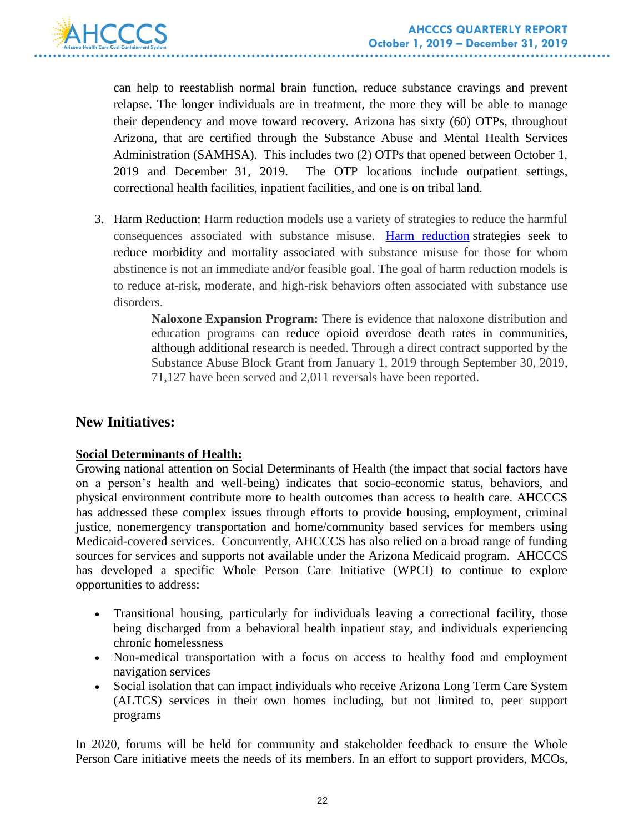

can help to reestablish normal brain function, reduce substance cravings and prevent relapse. The longer individuals are in treatment, the more they will be able to manage their dependency and move toward recovery. Arizona has sixty (60) OTPs, throughout Arizona, that are certified through the Substance Abuse and Mental Health Services Administration (SAMHSA). This includes two (2) OTPs that opened between October 1, 2019 and December 31, 2019. The OTP locations include outpatient settings, correctional health facilities, inpatient facilities, and one is on tribal land.

3. Harm Reduction: Harm reduction models use a variety of strategies to reduce the harmful consequences associated with substance misuse. [Harm reduction](https://www.ncbi.nlm.nih.gov/pmc/articles/PMC2528824/) strategies seek to reduce morbidity and mortality associated with substance misuse for those for whom abstinence is not an immediate and/or feasible goal. The goal of harm reduction models is to reduce at-risk, moderate, and high-risk behaviors often associated with substance use disorders.

> **Naloxone Expansion Program:** There is evidence that naloxone distribution and education programs can reduce opioid overdose death rates in communities, although additional research is needed. Through a direct contract supported by the Substance Abuse Block Grant from January 1, 2019 through September 30, 2019, 71,127 have been served and 2,011 reversals have been reported.

### **New Initiatives:**

#### **Social Determinants of Health:**

Growing national attention on Social Determinants of Health (the impact that social factors have on a person's health and well-being) indicates that socio-economic status, behaviors, and physical environment contribute more to health outcomes than access to health care. AHCCCS has addressed these complex issues through efforts to provide housing, employment, criminal justice, nonemergency transportation and home/community based services for members using Medicaid-covered services. Concurrently, AHCCCS has also relied on a broad range of funding sources for services and supports not available under the Arizona Medicaid program. AHCCCS has developed a specific Whole Person Care Initiative (WPCI) to continue to explore opportunities to address:

- Transitional housing, particularly for individuals leaving a correctional facility, those being discharged from a behavioral health inpatient stay, and individuals experiencing chronic homelessness
- Non-medical transportation with a focus on access to healthy food and employment navigation services
- Social isolation that can impact individuals who receive Arizona Long Term Care System (ALTCS) services in their own homes including, but not limited to, peer support programs

In 2020, forums will be held for community and stakeholder feedback to ensure the Whole Person Care initiative meets the needs of its members. In an effort to support providers, MCOs,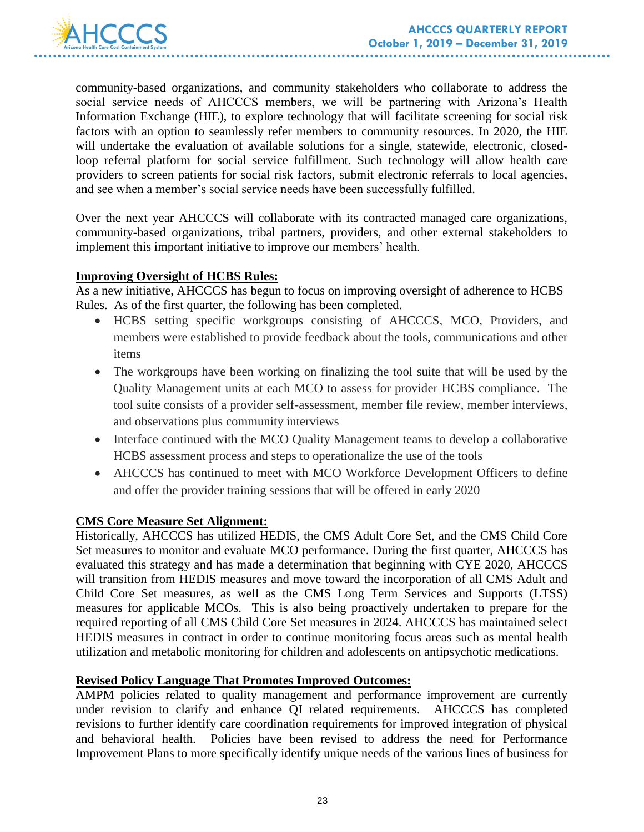

community-based organizations, and community stakeholders who collaborate to address the social service needs of AHCCCS members, we will be partnering with Arizona's Health Information Exchange (HIE), to explore technology that will facilitate screening for social risk factors with an option to seamlessly refer members to community resources. In 2020, the HIE will undertake the evaluation of available solutions for a single, statewide, electronic, closedloop referral platform for social service fulfillment. Such technology will allow health care providers to screen patients for social risk factors, submit electronic referrals to local agencies, and see when a member's social service needs have been successfully fulfilled.

Over the next year AHCCCS will collaborate with its contracted managed care organizations, community-based organizations, tribal partners, providers, and other external stakeholders to implement this important initiative to improve our members' health.

#### **Improving Oversight of HCBS Rules:**

As a new initiative, AHCCCS has begun to focus on improving oversight of adherence to HCBS Rules. As of the first quarter, the following has been completed.

- HCBS setting specific workgroups consisting of AHCCCS, MCO, Providers, and members were established to provide feedback about the tools, communications and other items
- The workgroups have been working on finalizing the tool suite that will be used by the Quality Management units at each MCO to assess for provider HCBS compliance. The tool suite consists of a provider self-assessment, member file review, member interviews, and observations plus community interviews
- Interface continued with the MCO Quality Management teams to develop a collaborative HCBS assessment process and steps to operationalize the use of the tools
- AHCCCS has continued to meet with MCO Workforce Development Officers to define and offer the provider training sessions that will be offered in early 2020

#### **CMS Core Measure Set Alignment:**

Historically, AHCCCS has utilized HEDIS, the CMS Adult Core Set, and the CMS Child Core Set measures to monitor and evaluate MCO performance. During the first quarter, AHCCCS has evaluated this strategy and has made a determination that beginning with CYE 2020, AHCCCS will transition from HEDIS measures and move toward the incorporation of all CMS Adult and Child Core Set measures, as well as the CMS Long Term Services and Supports (LTSS) measures for applicable MCOs. This is also being proactively undertaken to prepare for the required reporting of all CMS Child Core Set measures in 2024. AHCCCS has maintained select HEDIS measures in contract in order to continue monitoring focus areas such as mental health utilization and metabolic monitoring for children and adolescents on antipsychotic medications.

#### **Revised Policy Language That Promotes Improved Outcomes:**

AMPM policies related to quality management and performance improvement are currently under revision to clarify and enhance QI related requirements. AHCCCS has completed revisions to further identify care coordination requirements for improved integration of physical and behavioral health. Policies have been revised to address the need for Performance Improvement Plans to more specifically identify unique needs of the various lines of business for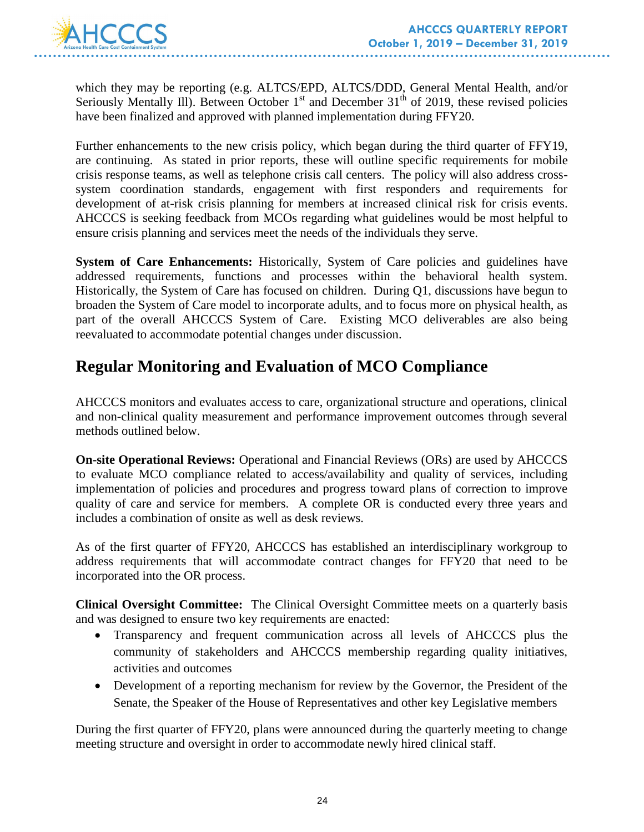which they may be reporting (e.g. ALTCS/EPD, ALTCS/DDD, General Mental Health, and/or Seriously Mentally Ill). Between October  $1<sup>st</sup>$  and December 31<sup>th</sup> of 2019, these revised policies have been finalized and approved with planned implementation during FFY20.

Further enhancements to the new crisis policy, which began during the third quarter of FFY19, are continuing. As stated in prior reports, these will outline specific requirements for mobile crisis response teams, as well as telephone crisis call centers. The policy will also address crosssystem coordination standards, engagement with first responders and requirements for development of at-risk crisis planning for members at increased clinical risk for crisis events. AHCCCS is seeking feedback from MCOs regarding what guidelines would be most helpful to ensure crisis planning and services meet the needs of the individuals they serve.

**System of Care Enhancements:** Historically, System of Care policies and guidelines have addressed requirements, functions and processes within the behavioral health system. Historically, the System of Care has focused on children. During Q1, discussions have begun to broaden the System of Care model to incorporate adults, and to focus more on physical health, as part of the overall AHCCCS System of Care. Existing MCO deliverables are also being reevaluated to accommodate potential changes under discussion.

# **Regular Monitoring and Evaluation of MCO Compliance**

AHCCCS monitors and evaluates access to care, organizational structure and operations, clinical and non-clinical quality measurement and performance improvement outcomes through several methods outlined below.

**On-site Operational Reviews:** Operational and Financial Reviews (ORs) are used by AHCCCS to evaluate MCO compliance related to access/availability and quality of services, including implementation of policies and procedures and progress toward plans of correction to improve quality of care and service for members. A complete OR is conducted every three years and includes a combination of onsite as well as desk reviews.

As of the first quarter of FFY20, AHCCCS has established an interdisciplinary workgroup to address requirements that will accommodate contract changes for FFY20 that need to be incorporated into the OR process.

**Clinical Oversight Committee:** The Clinical Oversight Committee meets on a quarterly basis and was designed to ensure two key requirements are enacted:

- Transparency and frequent communication across all levels of AHCCCS plus the community of stakeholders and AHCCCS membership regarding quality initiatives, activities and outcomes
- Development of a reporting mechanism for review by the Governor, the President of the Senate, the Speaker of the House of Representatives and other key Legislative members

During the first quarter of FFY20, plans were announced during the quarterly meeting to change meeting structure and oversight in order to accommodate newly hired clinical staff.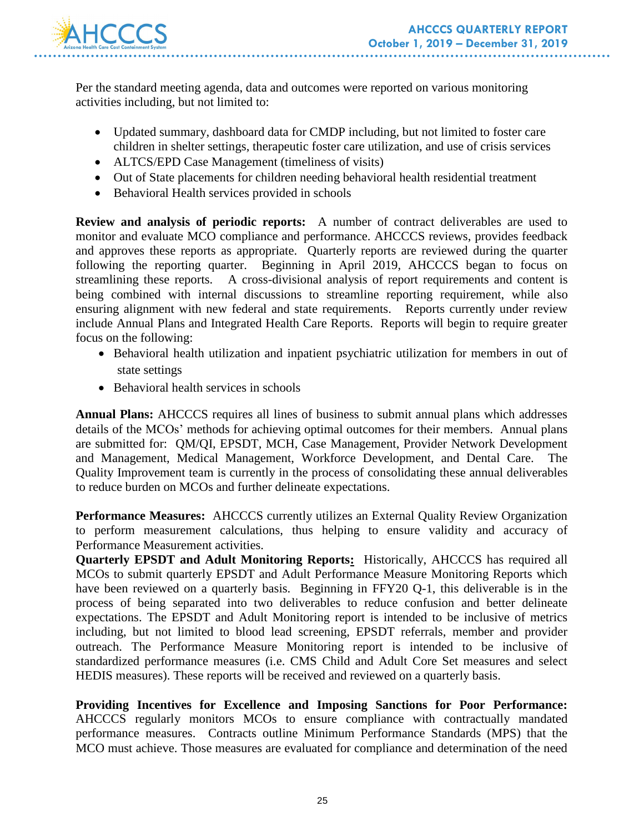

Per the standard meeting agenda, data and outcomes were reported on various monitoring activities including, but not limited to:

- Updated summary, dashboard data for CMDP including, but not limited to foster care children in shelter settings, therapeutic foster care utilization, and use of crisis services
- ALTCS/EPD Case Management (timeliness of visits)
- Out of State placements for children needing behavioral health residential treatment
- Behavioral Health services provided in schools

**Review and analysis of periodic reports:** A number of contract deliverables are used to monitor and evaluate MCO compliance and performance. AHCCCS reviews, provides feedback and approves these reports as appropriate. Quarterly reports are reviewed during the quarter following the reporting quarter. Beginning in April 2019, AHCCCS began to focus on streamlining these reports. A cross-divisional analysis of report requirements and content is being combined with internal discussions to streamline reporting requirement, while also ensuring alignment with new federal and state requirements. Reports currently under review include Annual Plans and Integrated Health Care Reports. Reports will begin to require greater focus on the following:

- Behavioral health utilization and inpatient psychiatric utilization for members in out of state settings
- Behavioral health services in schools

**Annual Plans:** AHCCCS requires all lines of business to submit annual plans which addresses details of the MCOs' methods for achieving optimal outcomes for their members. Annual plans are submitted for: QM/QI, EPSDT, MCH, Case Management, Provider Network Development and Management, Medical Management, Workforce Development, and Dental Care. The Quality Improvement team is currently in the process of consolidating these annual deliverables to reduce burden on MCOs and further delineate expectations.

**Performance Measures:** AHCCCS currently utilizes an External Quality Review Organization to perform measurement calculations, thus helping to ensure validity and accuracy of Performance Measurement activities.

**Quarterly EPSDT and Adult Monitoring Reports:** Historically, AHCCCS has required all MCOs to submit quarterly EPSDT and Adult Performance Measure Monitoring Reports which have been reviewed on a quarterly basis. Beginning in FFY20 Q-1, this deliverable is in the process of being separated into two deliverables to reduce confusion and better delineate expectations. The EPSDT and Adult Monitoring report is intended to be inclusive of metrics including, but not limited to blood lead screening, EPSDT referrals, member and provider outreach. The Performance Measure Monitoring report is intended to be inclusive of standardized performance measures (i.e. CMS Child and Adult Core Set measures and select HEDIS measures). These reports will be received and reviewed on a quarterly basis.

**Providing Incentives for Excellence and Imposing Sanctions for Poor Performance:**  AHCCCS regularly monitors MCOs to ensure compliance with contractually mandated performance measures. Contracts outline Minimum Performance Standards (MPS) that the MCO must achieve. Those measures are evaluated for compliance and determination of the need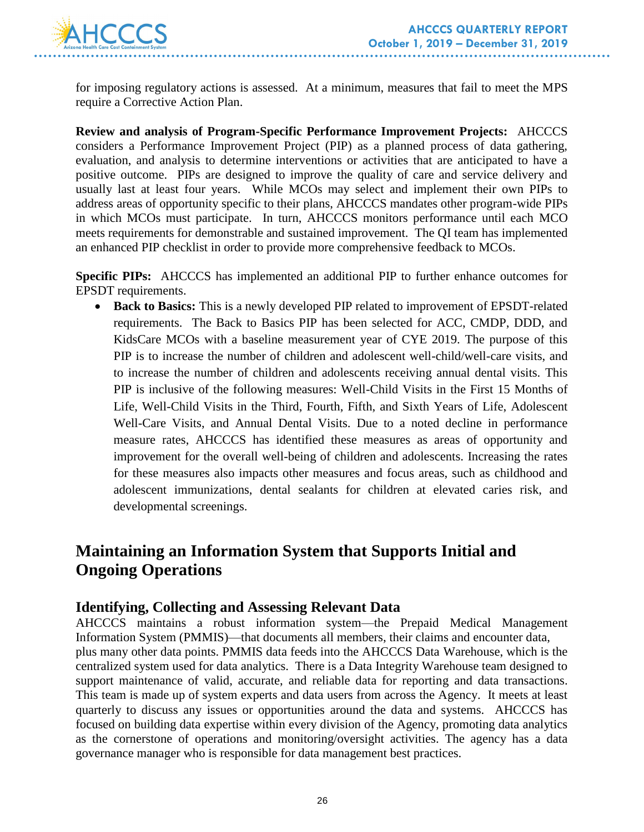

for imposing regulatory actions is assessed. At a minimum, measures that fail to meet the MPS require a Corrective Action Plan.

**Review and analysis of Program-Specific Performance Improvement Projects:** AHCCCS considers a Performance Improvement Project (PIP) as a planned process of data gathering, evaluation, and analysis to determine interventions or activities that are anticipated to have a positive outcome. PIPs are designed to improve the quality of care and service delivery and usually last at least four years. While MCOs may select and implement their own PIPs to address areas of opportunity specific to their plans, AHCCCS mandates other program-wide PIPs in which MCOs must participate. In turn, AHCCCS monitors performance until each MCO meets requirements for demonstrable and sustained improvement. The QI team has implemented an enhanced PIP checklist in order to provide more comprehensive feedback to MCOs.

**Specific PIPs:** AHCCCS has implemented an additional PIP to further enhance outcomes for EPSDT requirements.

 **Back to Basics:** This is a newly developed PIP related to improvement of EPSDT-related requirements. The Back to Basics PIP has been selected for ACC, CMDP, DDD, and KidsCare MCOs with a baseline measurement year of CYE 2019. The purpose of this PIP is to increase the number of children and adolescent well-child/well-care visits, and to increase the number of children and adolescents receiving annual dental visits. This PIP is inclusive of the following measures: Well-Child Visits in the First 15 Months of Life, Well-Child Visits in the Third, Fourth, Fifth, and Sixth Years of Life, Adolescent Well-Care Visits, and Annual Dental Visits. Due to a noted decline in performance measure rates, AHCCCS has identified these measures as areas of opportunity and improvement for the overall well-being of children and adolescents. Increasing the rates for these measures also impacts other measures and focus areas, such as childhood and adolescent immunizations, dental sealants for children at elevated caries risk, and developmental screenings.

# **Maintaining an Information System that Supports Initial and Ongoing Operations**

#### **Identifying, Collecting and Assessing Relevant Data**

AHCCCS maintains a robust information system—the Prepaid Medical Management Information System (PMMIS)—that documents all members, their claims and encounter data, plus many other data points. PMMIS data feeds into the AHCCCS Data Warehouse, which is the centralized system used for data analytics. There is a Data Integrity Warehouse team designed to support maintenance of valid, accurate, and reliable data for reporting and data transactions. This team is made up of system experts and data users from across the Agency. It meets at least quarterly to discuss any issues or opportunities around the data and systems. AHCCCS has focused on building data expertise within every division of the Agency, promoting data analytics as the cornerstone of operations and monitoring/oversight activities. The agency has a data governance manager who is responsible for data management best practices.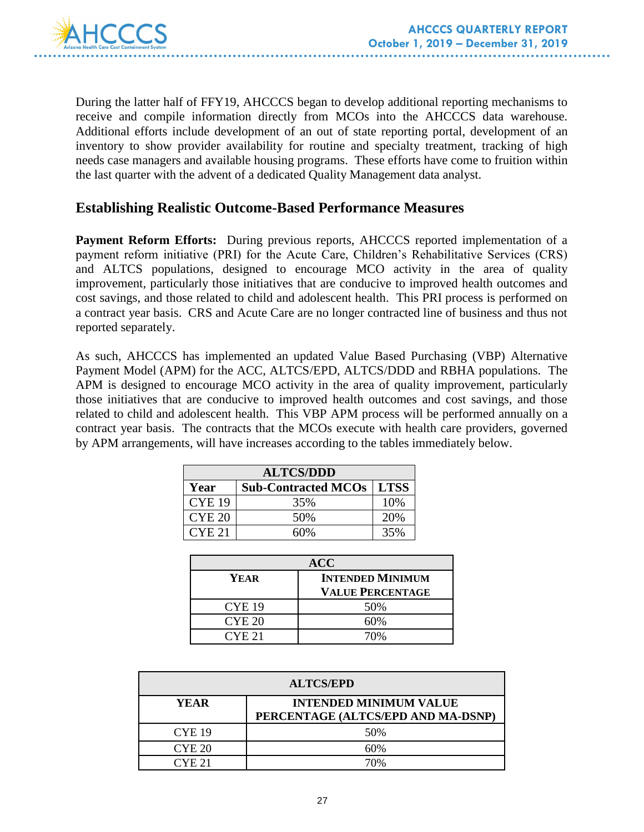

During the latter half of FFY19, AHCCCS began to develop additional reporting mechanisms to receive and compile information directly from MCOs into the AHCCCS data warehouse. Additional efforts include development of an out of state reporting portal, development of an inventory to show provider availability for routine and specialty treatment, tracking of high needs case managers and available housing programs. These efforts have come to fruition within the last quarter with the advent of a dedicated Quality Management data analyst.

### **Establishing Realistic Outcome-Based Performance Measures**

**Payment Reform Efforts:** During previous reports, AHCCCS reported implementation of a payment reform initiative (PRI) for the Acute Care, Children's Rehabilitative Services (CRS) and ALTCS populations, designed to encourage MCO activity in the area of quality improvement, particularly those initiatives that are conducive to improved health outcomes and cost savings, and those related to child and adolescent health. This PRI process is performed on a contract year basis. CRS and Acute Care are no longer contracted line of business and thus not reported separately.

As such, AHCCCS has implemented an updated Value Based Purchasing (VBP) Alternative Payment Model (APM) for the ACC, ALTCS/EPD, ALTCS/DDD and RBHA populations. The APM is designed to encourage MCO activity in the area of quality improvement, particularly those initiatives that are conducive to improved health outcomes and cost savings, and those related to child and adolescent health. This VBP APM process will be performed annually on a contract year basis. The contracts that the MCOs execute with health care providers, governed by APM arrangements, will have increases according to the tables immediately below.

| <b>ALTCS/DDD</b>  |                                   |     |  |
|-------------------|-----------------------------------|-----|--|
| Year              | <b>Sub-Contracted MCOs   LTSS</b> |     |  |
| <b>CYE 19</b>     | 35%                               | 10% |  |
| CYE <sub>20</sub> | 50%                               | 20% |  |
| CYE <sub>21</sub> | 60%                               | 35% |  |

| <b>ACC</b>    |                         |  |  |
|---------------|-------------------------|--|--|
| YEAR          | <b>INTENDED MINIMUM</b> |  |  |
|               | <b>VALUE PERCENTAGE</b> |  |  |
| <b>CYE 19</b> | 50%                     |  |  |
| <b>CYE 20</b> | 60%                     |  |  |
| CYE 21        |                         |  |  |

| <b>ALTCS/EPD</b> |                                                                     |  |  |  |
|------------------|---------------------------------------------------------------------|--|--|--|
| YEAR             | <b>INTENDED MINIMUM VALUE</b><br>PERCENTAGE (ALTCS/EPD AND MA-DSNP) |  |  |  |
| <b>CYE 19</b>    | 50%                                                                 |  |  |  |
| CYE 20           | 60%                                                                 |  |  |  |
| CYE 21           | 70%                                                                 |  |  |  |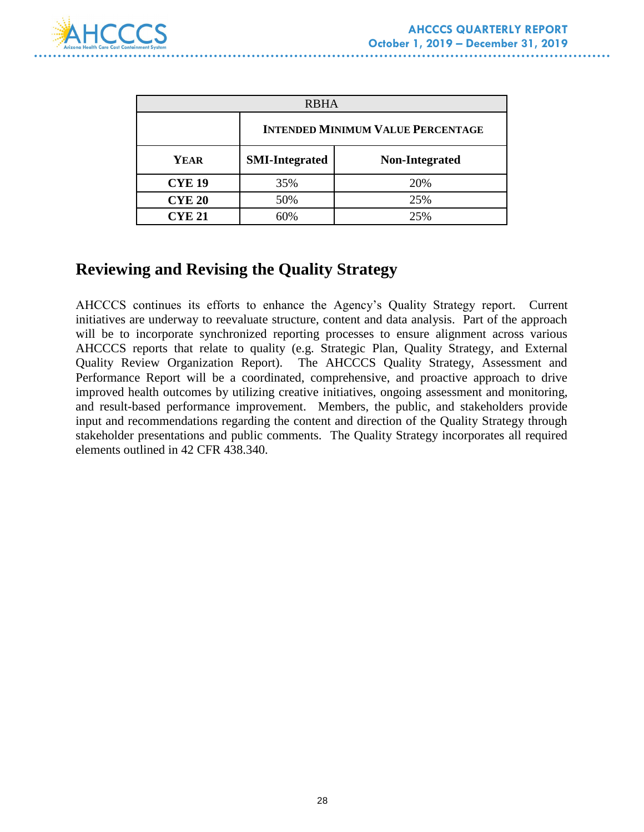

| <b>RBHA</b>   |                                          |                       |  |  |
|---------------|------------------------------------------|-----------------------|--|--|
|               | <b>INTENDED MINIMUM VALUE PERCENTAGE</b> |                       |  |  |
| <b>YEAR</b>   | <b>SMI-Integrated</b>                    | <b>Non-Integrated</b> |  |  |
| <b>CYE 19</b> | 35%                                      | 20%                   |  |  |
| <b>CYE 20</b> | 50%                                      | 25%                   |  |  |
| <b>CYE 21</b> |                                          | 25%                   |  |  |

# **Reviewing and Revising the Quality Strategy**

AHCCCS continues its efforts to enhance the Agency's Quality Strategy report. Current initiatives are underway to reevaluate structure, content and data analysis. Part of the approach will be to incorporate synchronized reporting processes to ensure alignment across various AHCCCS reports that relate to quality (e.g. Strategic Plan, Quality Strategy, and External Quality Review Organization Report). The AHCCCS Quality Strategy, Assessment and Performance Report will be a coordinated, comprehensive, and proactive approach to drive improved health outcomes by utilizing creative initiatives, ongoing assessment and monitoring, and result-based performance improvement. Members, the public, and stakeholders provide input and recommendations regarding the content and direction of the Quality Strategy through stakeholder presentations and public comments. The Quality Strategy incorporates all required elements outlined in 42 CFR 438.340.